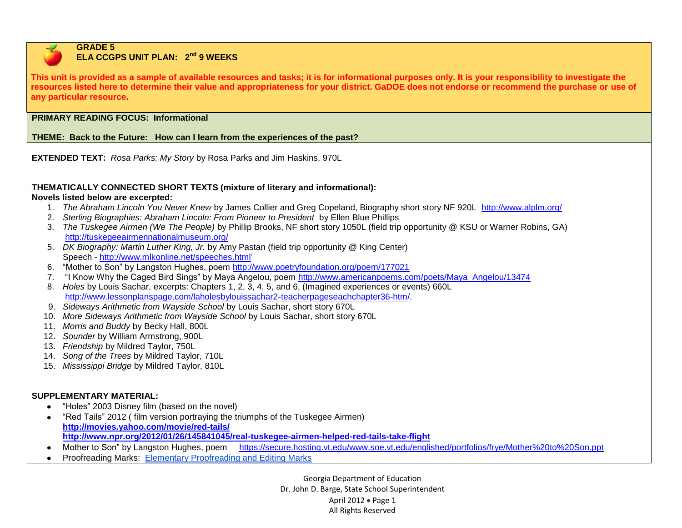

#### **GRADE 5 ELA CCGPS UNIT PLAN:**  $2^{nd}$  9 WEEKS

**This unit is provided as a sample of available resources and tasks; it is for informational purposes only. It is your responsibility to investigate the resources listed here to determine their value and appropriateness for your district. GaDOE does not endorse or recommend the purchase or use of any particular resource.**

# **PRIMARY READING FOCUS: Informational**

## **THEME: Back to the Future: How can I learn from the experiences of the past?**

**EXTENDED TEXT:** *Rosa Parks: My Story* by Rosa Parks and Jim Haskins, 970L

# **THEMATICALLY CONNECTED SHORT TEXTS (mixture of literary and informational):**

### **Novels listed below are excerpted:**

- 1. *The Abraham Lincoln You Never Knew* by James Collier and Greg Copeland, Biography short story NF 920L <http://www.alplm.org/>
- 2. *Sterling Biographies: Abraham Lincoln: From Pioneer to President* by Ellen Blue Phillips
- 3. *The Tuskegee Airmen (We The People)* by Phillip Brooks, NF short story 1050L (field trip opportunity @ KSU or Warner Robins, GA) <http://tuskegeeairmennationalmuseum.org/>
- 5. *DK Biography: Martin Luther King, Jr.* by Amy Pastan (field trip opportunity @ King Center) Speech - [http://www.mlkonline.net/speeches.html'](http://www.mlkonline.net/speeches.html)
- 6. "Mother to Son" by Langston Hughes, poem<http://www.poetryfoundation.org/poem/177021>
- 7. "I Know Why the Caged Bird Sings" by Maya Angelou, poem [http://www.americanpoems.com/poets/Maya\\_Angelou/13474](http://www.americanpoems.com/poets/Maya_Angelou/13474)
- 8. *Holes* by Louis Sachar, excerpts: Chapters 1, 2, 3, 4, 5, and 6, (Imagined experiences or events) 660L [http://www.lessonplanspage.com/laholesbylouissachar2-teacherpageseachchapter36-htm/.](http://www.lessonplanspage.com/laholesbylouissachar2-teacherpageseachchapter36-htm/)
- 9. *Sideways Arithmetic from Wayside School* by Louis Sachar, short story 670L
- 10. *More Sideways Arithmetic from Wayside School* by Louis Sachar, short story 670L
- 11. *Morris and Buddy* by Becky Hall, 800L
- 12. *Sounder* by William Armstrong, 900L
- 13. *Friendship* by Mildred Taylor, 750L
- 14. *Song of the Trees* by Mildred Taylor, 710L
- 15. *Mississippi Bridge* by Mildred Taylor, 810L

## **SUPPLEMENTARY MATERIAL:**

- "Holes" 2003 Disney film (based on the novel)  $\bullet$
- "Red Tails" 2012 ( film version portraying the triumphs of the Tuskegee Airmen)  $\bullet$ **<http://movies.yahoo.com/movie/red-tails/> <http://www.npr.org/2012/01/26/145841045/real-tuskegee-airmen-helped-red-tails-take-flight>**
- Mother to Son" by Langston Hughes, poem <https://secure.hosting.vt.edu/www.soe.vt.edu/englished/portfolios/frye/Mother%20to%20Son.ppt>  $\bullet$
- Proofreading Marks:Elementary Proofreading [and Editing Marks](http://www.wcs.k12.mi.us/curriculum/resources/k-5_writing/download/editing_and_proofreading_marks.pdf)

Georgia Department of Education Dr. John D. Barge, State School Superintendent April 2012  $\bullet$  Page 1 All Rights Reserved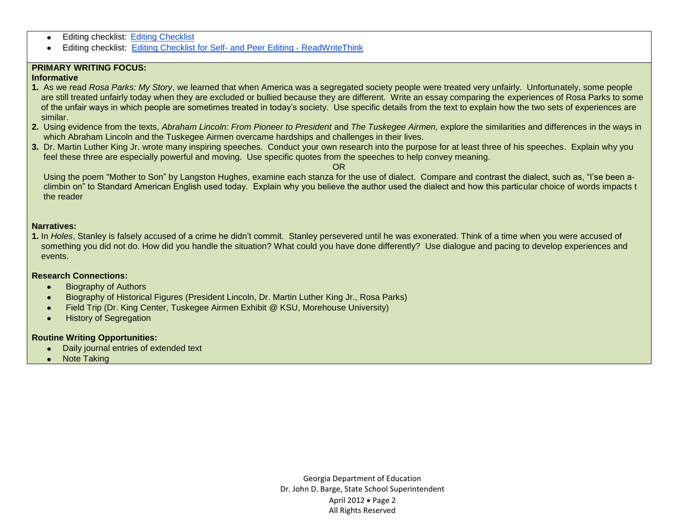- Editing checklist: [Editing Checklist](http://jc-schools.net/write/checklist.pdf)
- Editing checklist: [Editing Checklist for Self-](http://www.readwritethink.org/classroom-resources/printouts/editing-checklist-self-peer-30232.html) and Peer Editing ReadWriteThink  $\bullet$

### **PRIMARY WRITING FOCUS:**

#### **Informative**

- **1.** As we read *Rosa Parks: My Story*, we learned that when America was a segregated society people were treated very unfairly. Unfortunately, some people are still treated unfairly today when they are excluded or bullied because they are different. Write an essay comparing the experiences of Rosa Parks to some of the unfair ways in which people are sometimes treated in today's society. Use specific details from the text to explain how the two sets of experiences are similar.
- **2.** Using evidence from the texts, *Abraham Lincoln: From Pioneer to President* and *The Tuskegee Airmen,* explore the similarities and differences in the ways in which Abraham Lincoln and the Tuskegee Airmen overcame hardships and challenges in their lives.
- **3.** Dr. Martin Luther King Jr. wrote many inspiring speeches. Conduct your own research into the purpose for at least three of his speeches. Explain why you feel these three are especially powerful and moving. Use specific quotes from the speeches to help convey meaning.

OR

 Using the poem "Mother to Son" by Langston Hughes, examine each stanza for the use of dialect. Compare and contrast the dialect, such as, "I'se been a climbin on" to Standard American English used today. Explain why you believe the author used the dialect and how this particular choice of words impacts t the reader

#### **Narratives:**

**1.** In *Holes*, Stanley is falsely accused of a crime he didn't commit. Stanley persevered until he was exonerated. Think of a time when you were accused of something you did not do. How did you handle the situation? What could you have done differently? Use dialogue and pacing to develop experiences and events.

### **Research Connections:**

- Biography of Authors  $\bullet$
- Biography of Historical Figures (President Lincoln, Dr. Martin Luther King Jr., Rosa Parks)
- Field Trip (Dr. King Center, Tuskegee Airmen Exhibit @ KSU, Morehouse University)
- History of Segregation  $\bullet$

### **Routine Writing Opportunities:**

- Daily journal entries of extended text  $\bullet$
- Note Taking

Georgia Department of Education Dr. John D. Barge, State School Superintendent April 2012 • Page 2 All Rights Reserved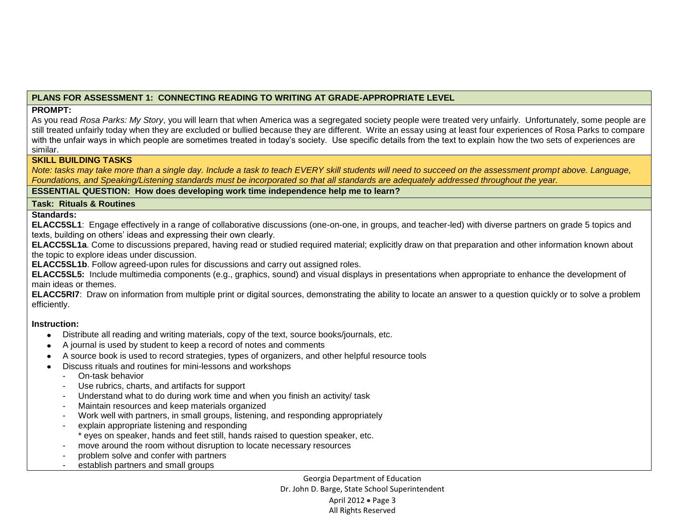## **PLANS FOR ASSESSMENT 1: CONNECTING READING TO WRITING AT GRADE-APPROPRIATE LEVEL**

### **PROMPT:**

As you read *Rosa Parks: My Story*, you will learn that when America was a segregated society people were treated very unfairly. Unfortunately, some people are still treated unfairly today when they are excluded or bullied because they are different. Write an essay using at least four experiences of Rosa Parks to compare with the unfair ways in which people are sometimes treated in today's society. Use specific details from the text to explain how the two sets of experiences are similar.

### **SKILL BUILDING TASKS**

*Note: tasks may take more than a single day. Include a task to teach EVERY skill students will need to succeed on the assessment prompt above. Language, Foundations, and Speaking/Listening standards must be incorporated so that all standards are adequately addressed throughout the year.* 

### **ESSENTIAL QUESTION: How does developing work time independence help me to learn?**

### **Task: Rituals & Routines**

### **Standards:**

**ELACC5SL1**: Engage effectively in a range of collaborative discussions (one-on-one, in groups, and teacher-led) with diverse partners on grade 5 topics and texts, building on others' ideas and expressing their own clearly.

**ELACC5SL1a**. Come to discussions prepared, having read or studied required material; explicitly draw on that preparation and other information known about the topic to explore ideas under discussion.

**ELACC5SL1b**. Follow agreed-upon rules for discussions and carry out assigned roles.

**ELACC5SL5:** Include multimedia components (e.g., graphics, sound) and visual displays in presentations when appropriate to enhance the development of main ideas or themes.

**ELACC5RI7**: Draw on information from multiple print or digital sources, demonstrating the ability to locate an answer to a question quickly or to solve a problem efficiently.

### **Instruction:**

- $\bullet$ Distribute all reading and writing materials, copy of the text, source books/journals, etc.
- A journal is used by student to keep a record of notes and comments
- A source book is used to record strategies, types of organizers, and other helpful resource tools  $\bullet$
- Discuss rituals and routines for mini-lessons and workshops  $\bullet$ 
	- On-task behavior
	- Use rubrics, charts, and artifacts for support
	- Understand what to do during work time and when you finish an activity/ task
	- Maintain resources and keep materials organized
	- Work well with partners, in small groups, listening, and responding appropriately
	- explain appropriate listening and responding \* eyes on speaker, hands and feet still, hands raised to question speaker, etc.
	- move around the room without disruption to locate necessary resources
	- problem solve and confer with partners
	- establish partners and small groups

Georgia Department of Education Dr. John D. Barge, State School Superintendent April 2012  $\bullet$  Page 3 All Rights Reserved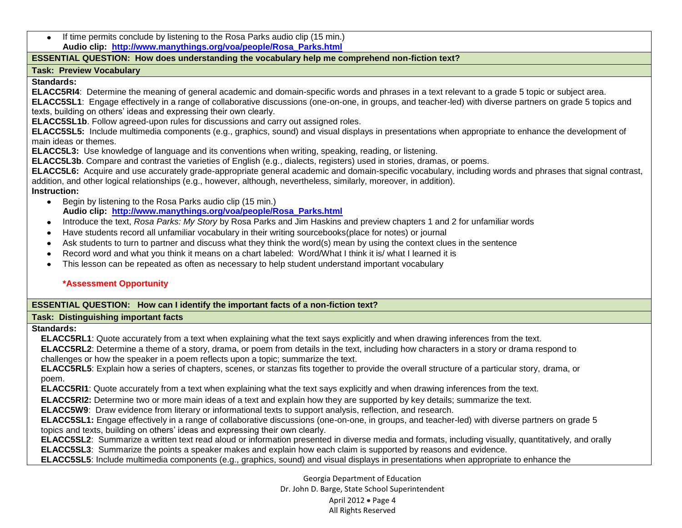If time permits conclude by listening to the Rosa Parks audio clip (15 min.) **Audio clip: [http://www.manythings.org/voa/people/Rosa\\_Parks.html](http://www.manythings.org/voa/people/Rosa_Parks.html)**

### **ESSENTIAL QUESTION: How does understanding the vocabulary help me comprehend non-fiction text?**

## **Task: Preview Vocabulary**

**Standards:**

**ELACC5RI4**: Determine the meaning of general academic and domain-specific words and phrases in a text relevant to a grade 5 topic or subject area.

**ELACC5SL1**: Engage effectively in a range of collaborative discussions (one-on-one, in groups, and teacher-led) with diverse partners on grade 5 topics and texts, building on others' ideas and expressing their own clearly.

**ELACC5SL1b**. Follow agreed-upon rules for discussions and carry out assigned roles.

**ELACC5SL5:** Include multimedia components (e.g., graphics, sound) and visual displays in presentations when appropriate to enhance the development of main ideas or themes.

**ELACC5L3:** Use knowledge of language and its conventions when writing, speaking, reading, or listening.

**ELACC5L3b**. Compare and contrast the varieties of English (e.g., dialects, registers) used in stories, dramas, or poems.

**ELACC5L6:** Acquire and use accurately grade-appropriate general academic and domain-specific vocabulary, including words and phrases that signal contrast, addition, and other logical relationships (e.g., however, although, nevertheless, similarly, moreover, in addition).

## **Instruction:**

- Begin by listening to the Rosa Parks audio clip (15 min.)  **Audio clip: [http://www.manythings.org/voa/people/Rosa\\_Parks.html](http://www.manythings.org/voa/people/Rosa_Parks.html)**
- Introduce the text, *Rosa Parks: My Story* by Rosa Parks and Jim Haskins and preview chapters 1 and 2 for unfamiliar words  $\bullet$
- Have students record all unfamiliar vocabulary in their writing sourcebooks(place for notes) or journal  $\bullet$
- Ask students to turn to partner and discuss what they think the word(s) mean by using the context clues in the sentence  $\bullet$
- Record word and what you think it means on a chart labeled: Word/What I think it is/ what I learned it is
- This lesson can be repeated as often as necessary to help student understand important vocabulary  $\bullet$

# **\*Assessment Opportunity**

# **ESSENTIAL QUESTION: How can I identify the important facts of a non-fiction text?**

## **Task: Distinguishing important facts**

# **Standards:**

**ELACC5RL1**: Quote accurately from a text when explaining what the text says explicitly and when drawing inferences from the text.

**ELACC5RL2**: Determine a theme of a story, drama, or poem from details in the text, including how characters in a story or drama respond to challenges or how the speaker in a poem reflects upon a topic; summarize the text.

**ELACC5RL5**: Explain how a series of chapters, scenes, or stanzas fits together to provide the overall structure of a particular story, drama, or poem.

**ELACC5RI1**: Quote accurately from a text when explaining what the text says explicitly and when drawing inferences from the text.

**ELACC5RI2:** Determine two or more main ideas of a text and explain how they are supported by key details; summarize the text.

**ELACC5W9**: Draw evidence from literary or informational texts to support analysis, reflection, and research.

**ELACC5SL1:** Engage effectively in a range of collaborative discussions (one-on-one, in groups, and teacher-led) with diverse partners on grade 5 topics and texts, building on others' ideas and expressing their own clearly.

**ELACC5SL2**: Summarize a written text read aloud or information presented in diverse media and formats, including visually, quantitatively, and orally. **ELACC5SL3**: Summarize the points a speaker makes and explain how each claim is supported by reasons and evidence.

**ELACC5SL5**: Include multimedia components (e.g., graphics, sound) and visual displays in presentations when appropriate to enhance the

Georgia Department of Education Dr. John D. Barge, State School Superintendent April 2012  $\bullet$  Page 4 All Rights Reserved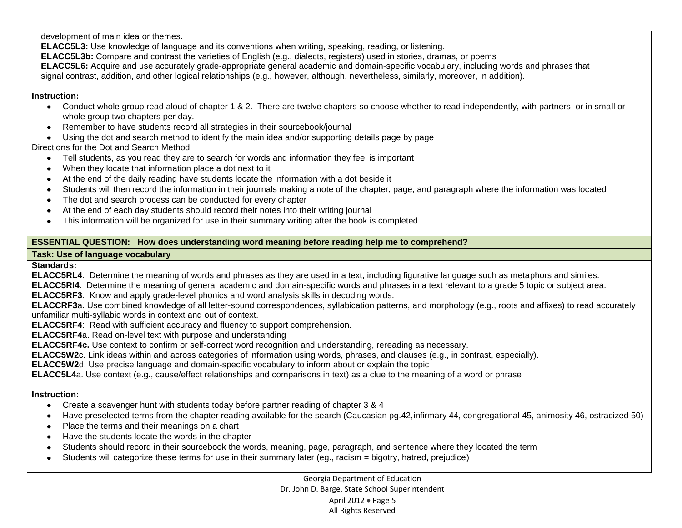development of main idea or themes.

**ELACC5L3:** Use knowledge of language and its conventions when writing, speaking, reading, or listening.

**ELACC5L3b:** Compare and contrast the varieties of English (e.g., dialects, registers) used in stories, dramas, or poems

**ELACC5L6:** Acquire and use accurately grade-appropriate general academic and domain-specific vocabulary, including words and phrases that

signal contrast, addition, and other logical relationships (e.g., however, although, nevertheless, similarly, moreover, in addition).

## **Instruction:**

- Conduct whole group read aloud of chapter 1 & 2. There are twelve chapters so choose whether to read independently, with partners, or in small or whole group two chapters per day.
- Remember to have students record all strategies in their sourcebook/journal
- Using the dot and search method to identify the main idea and/or supporting details page by page

# Directions for the Dot and Search Method

- Tell students, as you read they are to search for words and information they feel is important
- When they locate that information place a dot next to it
- At the end of the daily reading have students locate the information with a dot beside it
- Students will then record the information in their journals making a note of the chapter, page, and paragraph where the information was located
- The dot and search process can be conducted for every chapter
- At the end of each day students should record their notes into their writing journal
- This information will be organized for use in their summary writing after the book is completed

# **ESSENTIAL QUESTION: How does understanding word meaning before reading help me to comprehend?**

# **Task: Use of language vocabulary**

**Standards:**

**ELACC5RL4**: Determine the meaning of words and phrases as they are used in a text, including figurative language such as metaphors and similes.

**ELACC5RI4**: Determine the meaning of general academic and domain-specific words and phrases in a text relevant to a grade 5 topic or subject area.

**ELACC5RF3**: Know and apply grade-level phonics and word analysis skills in decoding words.

**ELACCRF3**a. Use combined knowledge of all letter-sound correspondences, syllabication patterns, and morphology (e.g., roots and affixes) to read accurately unfamiliar multi-syllabic words in context and out of context.

**ELACC5RF4**: Read with sufficient accuracy and fluency to support comprehension.

**ELACC5RF4**a. Read on-level text with purpose and understanding

**ELACC5RF4c.** Use context to confirm or self-correct word recognition and understanding, rereading as necessary.

**ELACC5W2**c. Link ideas within and across categories of information using words, phrases, and clauses (e.g., in contrast, especially).

**ELACC5W2**d. Use precise language and domain-specific vocabulary to inform about or explain the topic

**ELACC5L4**a. Use context (e.g., cause/effect relationships and comparisons in text) as a clue to the meaning of a word or phrase

# **Instruction:**

- Create a scavenger hunt with students today before partner reading of chapter 3 & 4
- Have preselected terms from the chapter reading available for the search (Caucasian pg.42,infirmary 44, congregational 45, animosity 46, ostracized 50)  $\bullet$
- Place the terms and their meanings on a chart  $\bullet$
- Have the students locate the words in the chapter
- Students should record in their sourcebook the words, meaning, page, paragraph, and sentence where they located the term  $\bullet$
- Students will categorize these terms for use in their summary later (eg., racism = bigotry, hatred, prejudice) $\bullet$

Georgia Department of Education Dr. John D. Barge, State School Superintendent April 2012  $\bullet$  Page 5 All Rights Reserved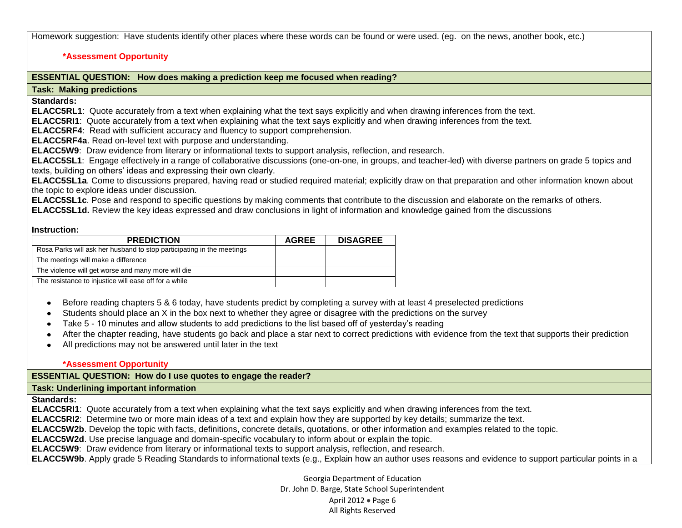Homework suggestion: Have students identify other places where these words can be found or were used. (eg. on the news, another book, etc.)

#### **\*Assessment Opportunity**

## **ESSENTIAL QUESTION: How does making a prediction keep me focused when reading?**

### **Task: Making predictions**

**Standards:**

**ELACC5RL1**: Quote accurately from a text when explaining what the text says explicitly and when drawing inferences from the text.

**ELACC5RI1**: Quote accurately from a text when explaining what the text says explicitly and when drawing inferences from the text.

**ELACC5RF4**: Read with sufficient accuracy and fluency to support comprehension.

**ELACC5RF4a**. Read on-level text with purpose and understanding.

**ELACC5W9**: Draw evidence from literary or informational texts to support analysis, reflection, and research.

**ELACC5SL1**: Engage effectively in a range of collaborative discussions (one-on-one, in groups, and teacher-led) with diverse partners on grade 5 topics and texts, building on others' ideas and expressing their own clearly.

**ELACC5SL1a**. Come to discussions prepared, having read or studied required material; explicitly draw on that preparation and other information known about the topic to explore ideas under discussion.

**ELACC5SL1c**. Pose and respond to specific questions by making comments that contribute to the discussion and elaborate on the remarks of others.

**ELACC5SL1d.** Review the key ideas expressed and draw conclusions in light of information and knowledge gained from the discussions

#### **Instruction:**

| <b>PREDICTION</b>                                                     | <b>AGREE</b> | <b>DISAGREE</b> |
|-----------------------------------------------------------------------|--------------|-----------------|
| Rosa Parks will ask her husband to stop participating in the meetings |              |                 |
| The meetings will make a difference                                   |              |                 |
| The violence will get worse and many more will die                    |              |                 |
| The resistance to injustice will ease off for a while                 |              |                 |

- Before reading chapters 5 & 6 today, have students predict by completing a survey with at least 4 preselected predictions  $\bullet$
- Students should place an X in the box next to whether they agree or disagree with the predictions on the survey  $\bullet$
- Take 5 10 minutes and allow students to add predictions to the list based off of yesterday's reading
- After the chapter reading, have students go back and place a star next to correct predictions with evidence from the text that supports their prediction  $\bullet$
- All predictions may not be answered until later in the text

#### **\*Assessment Opportunity**

**ESSENTIAL QUESTION: How do I use quotes to engage the reader?**

**Task: Underlining important information**

**Standards:**

**ELACC5RI1**: Quote accurately from a text when explaining what the text says explicitly and when drawing inferences from the text.

**ELACC5RI2**: Determine two or more main ideas of a text and explain how they are supported by key details; summarize the text.

**ELACC5W2b**. Develop the topic with facts, definitions, concrete details, quotations, or other information and examples related to the topic.

**ELACC5W2d**. Use precise language and domain-specific vocabulary to inform about or explain the topic.

**ELACC5W9**: Draw evidence from literary or informational texts to support analysis, reflection, and research.

**ELACC5W9b**. Apply grade 5 Reading Standards to informational texts (e.g., Explain how an author uses reasons and evidence to support particular points in a

Georgia Department of Education Dr. John D. Barge, State School Superintendent April 2012  $\bullet$  Page 6 All Rights Reserved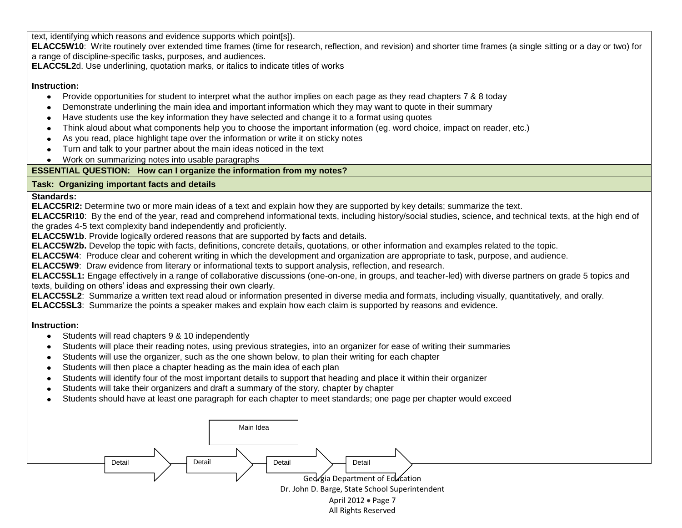text, identifying which reasons and evidence supports which point[s]).

**ELACC5W10**: Write routinely over extended time frames (time for research, reflection, and revision) and shorter time frames (a single sitting or a day or two) for a range of discipline-specific tasks, purposes, and audiences.

**ELACC5L2**d. Use underlining, quotation marks, or italics to indicate titles of works

## **Instruction:**

- $\bullet$ Provide opportunities for student to interpret what the author implies on each page as they read chapters 7 & 8 today
- Demonstrate underlining the main idea and important information which they may want to quote in their summary
- Have students use the key information they have selected and change it to a format using quotes
- Think aloud about what components help you to choose the important information (eg. word choice, impact on reader, etc.)
- As you read, place highlight tape over the information or write it on sticky notes
- Turn and talk to your partner about the main ideas noticed in the text
- Work on summarizing notes into usable paragraphs

# **ESSENTIAL QUESTION: How can I organize the information from my notes?**

# **Task: Organizing important facts and details**

# **Standards:**

**ELACC5RI2:** Determine two or more main ideas of a text and explain how they are supported by key details; summarize the text.

**ELACC5RI10**: By the end of the year, read and comprehend informational texts, including history/social studies, science, and technical texts, at the high end of the grades 4-5 text complexity band independently and proficiently.

**ELACC5W1b**. Provide logically ordered reasons that are supported by facts and details.

**ELACC5W2b.** Develop the topic with facts, definitions, concrete details, quotations, or other information and examples related to the topic.

**ELACC5W4**: Produce clear and coherent writing in which the development and organization are appropriate to task, purpose, and audience.

**ELACC5W9**: Draw evidence from literary or informational texts to support analysis, reflection, and research.

**ELACC5SL1:** Engage effectively in a range of collaborative discussions (one-on-one, in groups, and teacher-led) with diverse partners on grade 5 topics and texts, building on others' ideas and expressing their own clearly.

**ELACC5SL2**: Summarize a written text read aloud or information presented in diverse media and formats, including visually, quantitatively, and orally.

**ELACC5SL3**: Summarize the points a speaker makes and explain how each claim is supported by reasons and evidence.

# **Instruction:**

- $\bullet$ Students will read chapters 9 & 10 independently
- Students will place their reading notes, using previous strategies, into an organizer for ease of writing their summaries  $\bullet$
- Students will use the organizer, such as the one shown below, to plan their writing for each chapter  $\bullet$
- Students will then place a chapter heading as the main idea of each plan  $\bullet$
- Students will identify four of the most important details to support that heading and place it within their organizer  $\bullet$
- Students will take their organizers and draft a summary of the story, chapter by chapter  $\bullet$
- Students should have at least one paragraph for each chapter to meet standards; one page per chapter would exceed

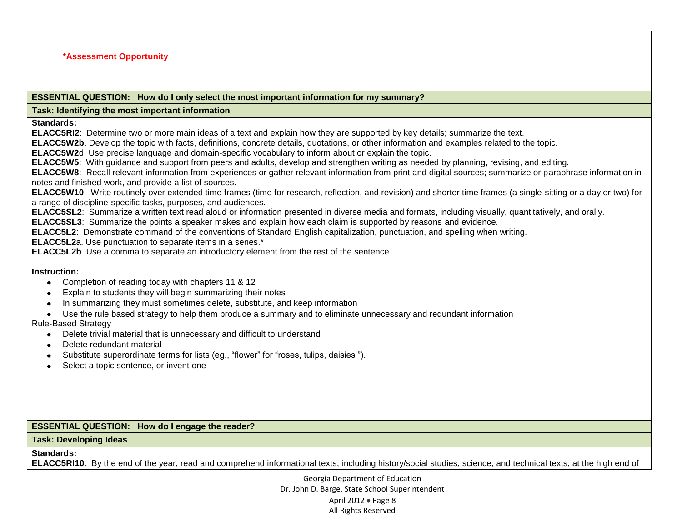#### **\*Assessment Opportunity**

#### **ESSENTIAL QUESTION: How do I only select the most important information for my summary?**

### **Task: Identifying the most important information**

**Standards:** 

**ELACC5RI2**: Determine two or more main ideas of a text and explain how they are supported by key details; summarize the text.

**ELACC5W2b**. Develop the topic with facts, definitions, concrete details, quotations, or other information and examples related to the topic.

**ELACC5W2**d. Use precise language and domain-specific vocabulary to inform about or explain the topic.

**ELACC5W5**: With guidance and support from peers and adults, develop and strengthen writing as needed by planning, revising, and editing.

**ELACC5W8**: Recall relevant information from experiences or gather relevant information from print and digital sources; summarize or paraphrase information in notes and finished work, and provide a list of sources.

**ELACC5W10**: Write routinely over extended time frames (time for research, reflection, and revision) and shorter time frames (a single sitting or a day or two) for a range of discipline-specific tasks, purposes, and audiences.

**ELACC5SL2**: Summarize a written text read aloud or information presented in diverse media and formats, including visually, quantitatively, and orally.

**ELACC5SL3**: Summarize the points a speaker makes and explain how each claim is supported by reasons and evidence.

**ELACC5L2**: Demonstrate command of the conventions of Standard English capitalization, punctuation, and spelling when writing.

**ELACC5L2**a. Use punctuation to separate items in a series.\*

**ELACC5L2b**. Use a comma to separate an introductory element from the rest of the sentence.

#### **Instruction:**

- Completion of reading today with chapters 11 & 12
- Explain to students they will begin summarizing their notes
- In summarizing they must sometimes delete, substitute, and keep information
- Use the rule based strategy to help them produce a summary and to eliminate unnecessary and redundant information

## Rule-Based Strategy

- $\bullet$ Delete trivial material that is unnecessary and difficult to understand
- Delete redundant material
- Substitute superordinate terms for lists (eg., "flower" for "roses, tulips, daisies ").
- Select a topic sentence, or invent one

## **ESSENTIAL QUESTION: How do I engage the reader?**

#### **Task: Developing Ideas**

## **Standards:**

**ELACC5RI10**: By the end of the year, read and comprehend informational texts, including history/social studies, science, and technical texts, at the high end of

Georgia Department of Education Dr. John D. Barge, State School Superintendent April 2012  $\bullet$  Page 8 All Rights Reserved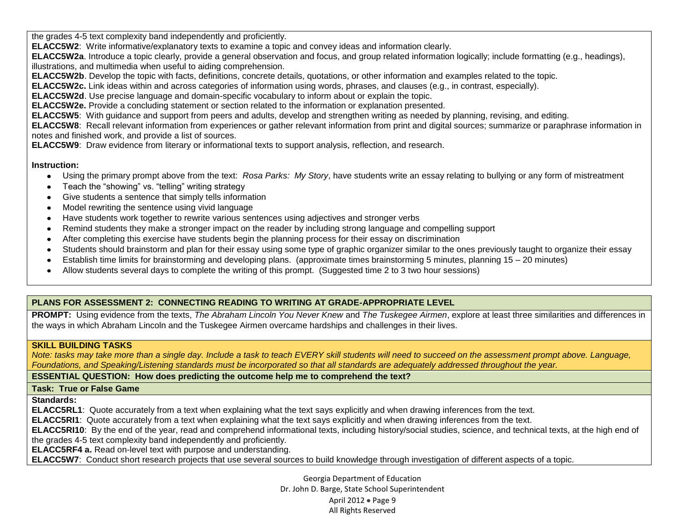the grades 4-5 text complexity band independently and proficiently.

**ELACC5W2**: Write informative/explanatory texts to examine a topic and convey ideas and information clearly.

**ELACC5W2a**. Introduce a topic clearly, provide a general observation and focus, and group related information logically; include formatting (e.g., headings), illustrations, and multimedia when useful to aiding comprehension.

**ELACC5W2b**. Develop the topic with facts, definitions, concrete details, quotations, or other information and examples related to the topic.

**ELACC5W2c.** Link ideas within and across categories of information using words, phrases, and clauses (e.g., in contrast, especially).

**ELACC5W2d**. Use precise language and domain-specific vocabulary to inform about or explain the topic.

**ELACC5W2e.** Provide a concluding statement or section related to the information or explanation presented.

**ELACC5W5**: With guidance and support from peers and adults, develop and strengthen writing as needed by planning, revising, and editing.

**ELACC5W8**: Recall relevant information from experiences or gather relevant information from print and digital sources; summarize or paraphrase information in notes and finished work, and provide a list of sources.

**ELACC5W9**: Draw evidence from literary or informational texts to support analysis, reflection, and research.

### **Instruction:**

- $\bullet$ Using the primary prompt above from the text: *Rosa Parks: My Story*, have students write an essay relating to bullying or any form of mistreatment
- Teach the "showing" vs. "telling" writing strategy
- Give students a sentence that simply tells information
- Model rewriting the sentence using vivid language  $\bullet$
- Have students work together to rewrite various sentences using adjectives and stronger verbs  $\bullet$  .
- Remind students they make a stronger impact on the reader by including strong language and compelling support  $\bullet$
- After completing this exercise have students begin the planning process for their essay on discrimination  $\bullet$
- Students should brainstorm and plan for their essay using some type of graphic organizer similar to the ones previously taught to organize their essay  $\bullet$
- Establish time limits for brainstorming and developing plans. (approximate times brainstorming 5 minutes, planning 15 20 minutes)
- Allow students several days to complete the writing of this prompt. (Suggested time 2 to 3 two hour sessions)  $\bullet$

# **PLANS FOR ASSESSMENT 2: CONNECTING READING TO WRITING AT GRADE-APPROPRIATE LEVEL**

**PROMPT:** Using evidence from the texts, *The Abraham Lincoln You Never Knew* and *The Tuskegee Airmen*, explore at least three similarities and differences in the ways in which Abraham Lincoln and the Tuskegee Airmen overcame hardships and challenges in their lives.

## **SKILL BUILDING TASKS**

*Note: tasks may take more than a single day. Include a task to teach EVERY skill students will need to succeed on the assessment prompt above. Language, Foundations, and Speaking/Listening standards must be incorporated so that all standards are adequately addressed throughout the year.* 

**ESSENTIAL QUESTION: How does predicting the outcome help me to comprehend the text?** 

### **Task: True or False Game**

**Standards:**

**ELACC5RL1**: Quote accurately from a text when explaining what the text says explicitly and when drawing inferences from the text.

**ELACC5RI1**: Quote accurately from a text when explaining what the text says explicitly and when drawing inferences from the text.

**ELACC5RI10**: By the end of the year, read and comprehend informational texts, including history/social studies, science, and technical texts, at the high end of the grades 4-5 text complexity band independently and proficiently.

**ELACC5RF4 a.** Read on-level text with purpose and understanding.

**ELACC5W7**: Conduct short research projects that use several sources to build knowledge through investigation of different aspects of a topic.

Georgia Department of Education Dr. John D. Barge, State School Superintendent April 2012  $\bullet$  Page 9 All Rights Reserved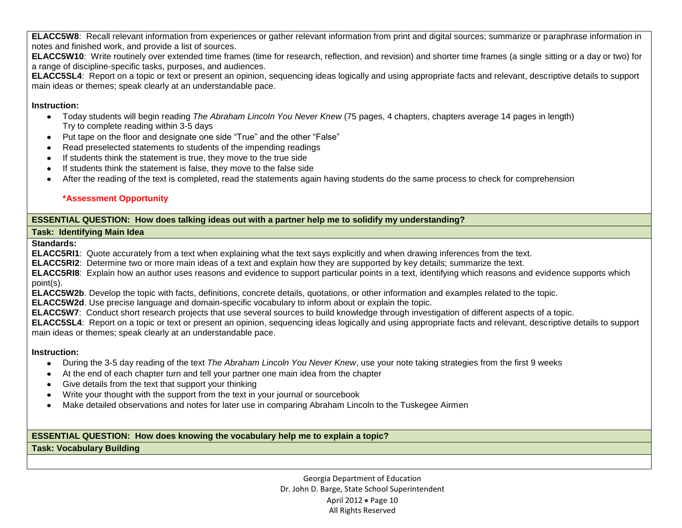**ELACC5W8**: Recall relevant information from experiences or gather relevant information from print and digital sources; summarize or paraphrase information in notes and finished work, and provide a list of sources.

**ELACC5W10**: Write routinely over extended time frames (time for research, reflection, and revision) and shorter time frames (a single sitting or a day or two) for a range of discipline-specific tasks, purposes, and audiences.

**ELACC5SL4**: Report on a topic or text or present an opinion, sequencing ideas logically and using appropriate facts and relevant, descriptive details to support main ideas or themes; speak clearly at an understandable pace.

### **Instruction:**

- Today students will begin reading *The Abraham Lincoln You Never Knew* (75 pages, 4 chapters, chapters average 14 pages in length) Try to complete reading within 3-5 days
- Put tape on the floor and designate one side "True" and the other "False"
- Read preselected statements to students of the impending readings
- If students think the statement is true, they move to the true side
- If students think the statement is false, they move to the false side
- After the reading of the text is completed, read the statements again having students do the same process to check for comprehension

## **\*Assessment Opportunity**

## **ESSENTIAL QUESTION: How does talking ideas out with a partner help me to solidify my understanding?**

## **Task: Identifying Main Idea**

### **Standards:**

**ELACC5RI1**: Quote accurately from a text when explaining what the text says explicitly and when drawing inferences from the text.

**ELACC5RI2**: Determine two or more main ideas of a text and explain how they are supported by key details; summarize the text.

**ELACC5RI8**: Explain how an author uses reasons and evidence to support particular points in a text, identifying which reasons and evidence supports which point(s).

**ELACC5W2b**. Develop the topic with facts, definitions, concrete details, quotations, or other information and examples related to the topic.

**ELACC5W2d**. Use precise language and domain-specific vocabulary to inform about or explain the topic.

**ELACC5W7**: Conduct short research projects that use several sources to build knowledge through investigation of different aspects of a topic.

**ELACC5SL4**: Report on a topic or text or present an opinion, sequencing ideas logically and using appropriate facts and relevant, descriptive details to support main ideas or themes; speak clearly at an understandable pace.

### **Instruction:**

- During the 3-5 day reading of the text *The Abraham Lincoln You Never Knew*, use your note taking strategies from the first 9 weeks  $\bullet$
- At the end of each chapter turn and tell your partner one main idea from the chapter
- Give details from the text that support your thinking
- Write your thought with the support from the text in your journal or sourcebook
- Make detailed observations and notes for later use in comparing Abraham Lincoln to the Tuskegee Airmen  $\bullet$  .

### **ESSENTIAL QUESTION: How does knowing the vocabulary help me to explain a topic?**

**Task: Vocabulary Building**

Georgia Department of Education Dr. John D. Barge, State School Superintendent April 2012 · Page 10 All Rights Reserved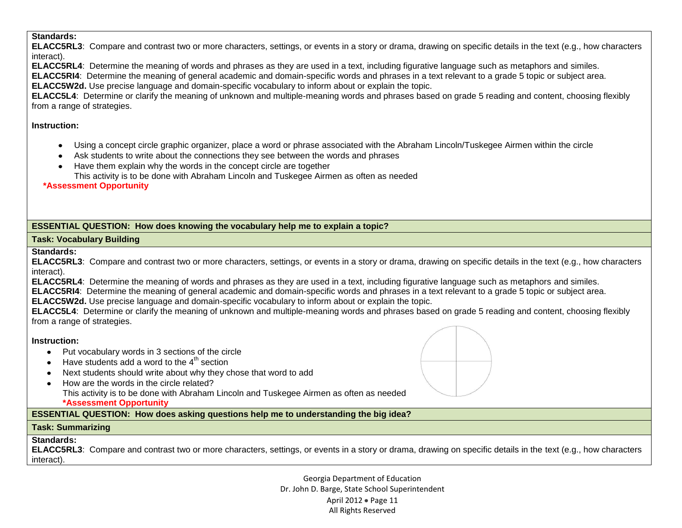### **Standards:**

**ELACC5RL3**: Compare and contrast two or more characters, settings, or events in a story or drama, drawing on specific details in the text (e.g., how characters interact).

**ELACC5RL4**: Determine the meaning of words and phrases as they are used in a text, including figurative language such as metaphors and similes.

**ELACC5RI4**: Determine the meaning of general academic and domain-specific words and phrases in a text relevant to a grade 5 topic or subject area.

**ELACC5W2d.** Use precise language and domain-specific vocabulary to inform about or explain the topic.

**ELACC5L4**: Determine or clarify the meaning of unknown and multiple-meaning words and phrases based on grade 5 reading and content, choosing flexibly from a range of strategies.

## **Instruction:**

- Using a concept circle graphic organizer, place a word or phrase associated with the Abraham Lincoln/Tuskegee Airmen within the circle  $\bullet$
- Ask students to write about the connections they see between the words and phrases
- Have them explain why the words in the concept circle are together
	- This activity is to be done with Abraham Lincoln and Tuskegee Airmen as often as needed

**\*Assessment Opportunity**

# **ESSENTIAL QUESTION: How does knowing the vocabulary help me to explain a topic?**

## **Task: Vocabulary Building**

## **Standards:**

**ELACC5RL3**: Compare and contrast two or more characters, settings, or events in a story or drama, drawing on specific details in the text (e.g., how characters interact).

**ELACC5RL4**: Determine the meaning of words and phrases as they are used in a text, including figurative language such as metaphors and similes.

**ELACC5RI4**: Determine the meaning of general academic and domain-specific words and phrases in a text relevant to a grade 5 topic or subject area.

**ELACC5W2d.** Use precise language and domain-specific vocabulary to inform about or explain the topic.

**ELACC5L4**: Determine or clarify the meaning of unknown and multiple-meaning words and phrases based on grade 5 reading and content, choosing flexibly from a range of strategies.

## **Instruction:**

- Put vocabulary words in 3 sections of the circle
- $\bullet$  Have students add a word to the  $4<sup>th</sup>$  section
- Next students should write about why they chose that word to add
- How are the words in the circle related? This activity is to be done with Abraham Lincoln and Tuskegee Airmen as often as needed **\*Assessment Opportunity**

**ESSENTIAL QUESTION: How does asking questions help me to understanding the big idea?**

# **Task: Summarizing**

# **Standards:**

**ELACC5RL3**: Compare and contrast two or more characters, settings, or events in a story or drama, drawing on specific details in the text (e.g., how characters interact).

> Georgia Department of Education Dr. John D. Barge, State School Superintendent April 2012 • Page 11 All Rights Reserved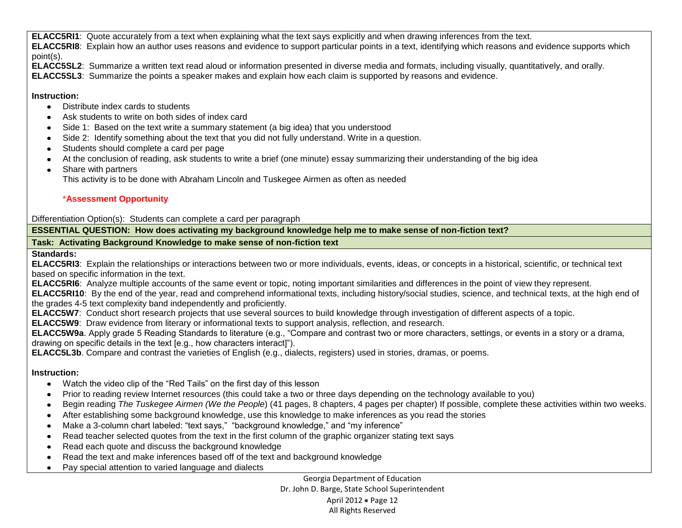**ELACC5RI1**: Quote accurately from a text when explaining what the text says explicitly and when drawing inferences from the text. **ELACC5RI8**: Explain how an author uses reasons and evidence to support particular points in a text, identifying which reasons and evidence supports which point(s).

**ELACC5SL2**: Summarize a written text read aloud or information presented in diverse media and formats, including visually, quantitatively, and orally.

**ELACC5SL3**: Summarize the points a speaker makes and explain how each claim is supported by reasons and evidence.

## **Instruction:**

- Distribute index cards to students
- Ask students to write on both sides of index card
- Side 1: Based on the text write a summary statement (a big idea) that you understood
- Side 2: Identify something about the text that you did not fully understand. Write in a question.
- Students should complete a card per page
- At the conclusion of reading, ask students to write a brief (one minute) essay summarizing their understanding of the big idea
- $\bullet$ Share with partners

This activity is to be done with Abraham Lincoln and Tuskegee Airmen as often as needed

# \***Assessment Opportunity**

Differentiation Option(s): Students can complete a card per paragraph

**ESSENTIAL QUESTION: How does activating my background knowledge help me to make sense of non-fiction text?** 

# **Task: Activating Background Knowledge to make sense of non-fiction text**

## **Standards:**

**ELACC5RI3**: Explain the relationships or interactions between two or more individuals, events, ideas, or concepts in a historical, scientific, or technical text based on specific information in the text.

**ELACC5RI6**: Analyze multiple accounts of the same event or topic, noting important similarities and differences in the point of view they represent.

**ELACC5RI10**: By the end of the year, read and comprehend informational texts, including history/social studies, science, and technical texts, at the high end of the grades 4-5 text complexity band independently and proficiently.

**ELACC5W7**: Conduct short research projects that use several sources to build knowledge through investigation of different aspects of a topic.

**ELACC5W9**: Draw evidence from literary or informational texts to support analysis, reflection, and research.

**ELACC5W9a**. Apply grade 5 Reading Standards to literature (e.g., "Compare and contrast two or more characters, settings, or events in a story or a drama, drawing on specific details in the text [e.g., how characters interact]").

**ELACC5L3b**. Compare and contrast the varieties of English (e.g., dialects, registers) used in stories, dramas, or poems.

# **Instruction:**

- Watch the video clip of the "Red Tails" on the first day of this lesson
- Prior to reading review Internet resources (this could take a two or three days depending on the technology available to you)  $\bullet$
- Begin reading *The Tuskegee Airmen (We the People*) (41 pages, 8 chapters, 4 pages per chapter) If possible, complete these activities within two weeks.  $\bullet$
- After establishing some background knowledge, use this knowledge to make inferences as you read the stories  $\bullet$
- Make a 3-column chart labeled: "text says," "background knowledge," and "my inference"  $\bullet$
- Read teacher selected quotes from the text in the first column of the graphic organizer stating text says  $\bullet$
- Read each quote and discuss the background knowledge  $\bullet$
- Read the text and make inferences based off of the text and background knowledge  $\bullet$
- Pay special attention to varied language and dialects $\bullet$

Georgia Department of Education Dr. John D. Barge, State School Superintendent April 2012 • Page 12 All Rights Reserved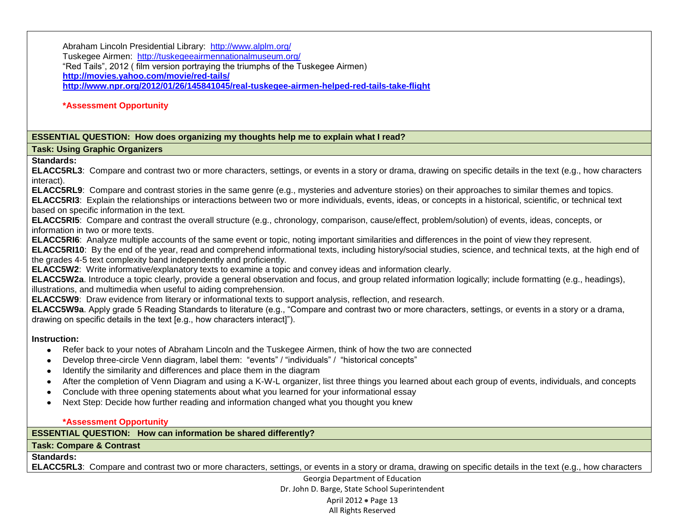Abraham Lincoln Presidential Library: <http://www.alplm.org/>

Tuskegee Airmen: <http://tuskegeeairmennationalmuseum.org/>

"Red Tails", 2012 ( film version portraying the triumphs of the Tuskegee Airmen)

**<http://movies.yahoo.com/movie/red-tails/>**

**<http://www.npr.org/2012/01/26/145841045/real-tuskegee-airmen-helped-red-tails-take-flight>**

### **\*Assessment Opportunity**

### **ESSENTIAL QUESTION: How does organizing my thoughts help me to explain what I read?**

## **Task: Using Graphic Organizers**

### **Standards:**

**ELACC5RL3**: Compare and contrast two or more characters, settings, or events in a story or drama, drawing on specific details in the text (e.g., how characters interact).

**ELACC5RL9**: Compare and contrast stories in the same genre (e.g., mysteries and adventure stories) on their approaches to similar themes and topics. **ELACC5RI3**: Explain the relationships or interactions between two or more individuals, events, ideas, or concepts in a historical, scientific, or technical text based on specific information in the text.

**ELACC5RI5**: Compare and contrast the overall structure (e.g., chronology, comparison, cause/effect, problem/solution) of events, ideas, concepts, or information in two or more texts.

**ELACC5RI6**: Analyze multiple accounts of the same event or topic, noting important similarities and differences in the point of view they represent.

**ELACC5RI10**: By the end of the year, read and comprehend informational texts, including history/social studies, science, and technical texts, at the high end of the grades 4-5 text complexity band independently and proficiently.

**ELACC5W2**: Write informative/explanatory texts to examine a topic and convey ideas and information clearly.

**ELACC5W2a**. Introduce a topic clearly, provide a general observation and focus, and group related information logically; include formatting (e.g., headings), illustrations, and multimedia when useful to aiding comprehension.

**ELACC5W9**: Draw evidence from literary or informational texts to support analysis, reflection, and research.

**ELACC5W9a**. Apply grade 5 Reading Standards to literature (e.g., "Compare and contrast two or more characters, settings, or events in a story or a drama, drawing on specific details in the text [e.g., how characters interact]").

## **Instruction:**

- Refer back to your notes of Abraham Lincoln and the Tuskegee Airmen, think of how the two are connected  $\bullet$
- Develop three-circle Venn diagram, label them: "events" / "individuals" / "historical concepts"
- Identify the similarity and differences and place them in the diagram
- After the completion of Venn Diagram and using a K-W-L organizer, list three things you learned about each group of events, individuals, and concepts
- Conclude with three opening statements about what you learned for your informational essay
- Next Step: Decide how further reading and information changed what you thought you knew

### **\*Assessment Opportunity**

**ESSENTIAL QUESTION: How can information be shared differently?**

### **Task: Compare & Contrast**

## **Standards:**

**ELACC5RL3**: Compare and contrast two or more characters, settings, or events in a story or drama, drawing on specific details in the text (e.g., how characters

Georgia Department of Education Dr. John D. Barge, State School Superintendent April 2012 · Page 13 All Rights Reserved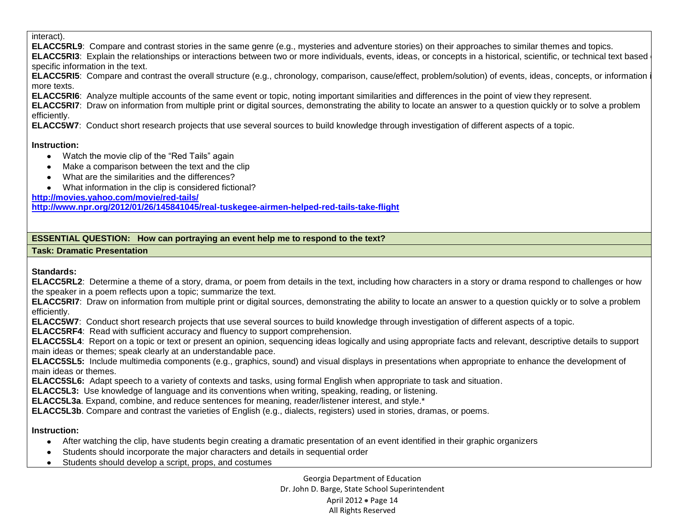#### interact).

**ELACC5RL9**: Compare and contrast stories in the same genre (e.g., mysteries and adventure stories) on their approaches to similar themes and topics.

**ELACC5RI3**: Explain the relationships or interactions between two or more individuals, events, ideas, or concepts in a historical, scientific, or technical text based on specific information in the text.

**ELACC5RI5**: Compare and contrast the overall structure (e.g., chronology, comparison, cause/effect, problem/solution) of events, ideas, concepts, or information in more texts.

**ELACC5RI6**: Analyze multiple accounts of the same event or topic, noting important similarities and differences in the point of view they represent.

**ELACC5RI7**: Draw on information from multiple print or digital sources, demonstrating the ability to locate an answer to a question quickly or to solve a problem efficiently.

**ELACC5W7**: Conduct short research projects that use several sources to build knowledge through investigation of different aspects of a topic.

### **Instruction:**

- Watch the movie clip of the "Red Tails" again
- Make a comparison between the text and the clip
- What are the similarities and the differences?
- What information in the clip is considered fictional?

**<http://movies.yahoo.com/movie/red-tails/>**

**<http://www.npr.org/2012/01/26/145841045/real-tuskegee-airmen-helped-red-tails-take-flight>**

## **ESSENTIAL QUESTION: How can portraying an event help me to respond to the text?**

## **Task: Dramatic Presentation**

# **Standards:**

**ELACC5RL2**: Determine a theme of a story, drama, or poem from details in the text, including how characters in a story or drama respond to challenges or how the speaker in a poem reflects upon a topic; summarize the text.

**ELACC5RI7**: Draw on information from multiple print or digital sources, demonstrating the ability to locate an answer to a question quickly or to solve a problem efficiently.

**ELACC5W7**: Conduct short research projects that use several sources to build knowledge through investigation of different aspects of a topic.

**ELACC5RF4**: Read with sufficient accuracy and fluency to support comprehension.

**ELACC5SL4**: Report on a topic or text or present an opinion, sequencing ideas logically and using appropriate facts and relevant, descriptive details to support main ideas or themes; speak clearly at an understandable pace.

**ELACC5SL5:** Include multimedia components (e.g., graphics, sound) and visual displays in presentations when appropriate to enhance the development of main ideas or themes.

**ELACC5SL6:** Adapt speech to a variety of contexts and tasks, using formal English when appropriate to task and situation.

**ELACC5L3:** Use knowledge of language and its conventions when writing, speaking, reading, or listening.

**ELACC5L3a**. Expand, combine, and reduce sentences for meaning, reader/listener interest, and style.\*

**ELACC5L3b**. Compare and contrast the varieties of English (e.g., dialects, registers) used in stories, dramas, or poems.

## **Instruction:**

- After watching the clip, have students begin creating a dramatic presentation of an event identified in their graphic organizers
- Students should incorporate the major characters and details in sequential order
- Students should develop a script, props, and costumes

Georgia Department of Education Dr. John D. Barge, State School Superintendent April 2012 • Page 14 All Rights Reserved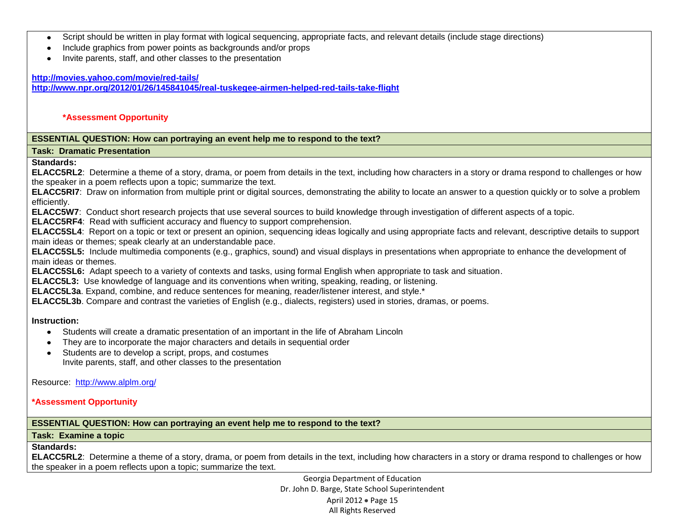- Script should be written in play format with logical sequencing, appropriate facts, and relevant details (include stage directions)  $\bullet$
- Include graphics from power points as backgrounds and/or props
- Invite parents, staff, and other classes to the presentation

#### **<http://movies.yahoo.com/movie/red-tails/>**

**<http://www.npr.org/2012/01/26/145841045/real-tuskegee-airmen-helped-red-tails-take-flight>**

#### **\*Assessment Opportunity**

#### **ESSENTIAL QUESTION: How can portraying an event help me to respond to the text?**

**Task: Dramatic Presentation**

## **Standards:**

**ELACC5RL2**: Determine a theme of a story, drama, or poem from details in the text, including how characters in a story or drama respond to challenges or how the speaker in a poem reflects upon a topic; summarize the text.

**ELACC5RI7**: Draw on information from multiple print or digital sources, demonstrating the ability to locate an answer to a question quickly or to solve a problem efficiently.

**ELACC5W7**: Conduct short research projects that use several sources to build knowledge through investigation of different aspects of a topic.

**ELACC5RF4**: Read with sufficient accuracy and fluency to support comprehension.

**ELACC5SL4**: Report on a topic or text or present an opinion, sequencing ideas logically and using appropriate facts and relevant, descriptive details to support main ideas or themes; speak clearly at an understandable pace.

**ELACC5SL5:** Include multimedia components (e.g., graphics, sound) and visual displays in presentations when appropriate to enhance the development of main ideas or themes.

**ELACC5SL6:** Adapt speech to a variety of contexts and tasks, using formal English when appropriate to task and situation.

**ELACC5L3:** Use knowledge of language and its conventions when writing, speaking, reading, or listening.

**ELACC5L3a**. Expand, combine, and reduce sentences for meaning, reader/listener interest, and style.\*

**ELACC5L3b**. Compare and contrast the varieties of English (e.g., dialects, registers) used in stories, dramas, or poems.

### **Instruction:**

- Students will create a dramatic presentation of an important in the life of Abraham Lincoln
- They are to incorporate the major characters and details in sequential order
- Students are to develop a script, props, and costumes Invite parents, staff, and other classes to the presentation

Resource: <http://www.alplm.org/>

### **\*Assessment Opportunity**

### **ESSENTIAL QUESTION: How can portraying an event help me to respond to the text?**

### **Task: Examine a topic**

## **Standards:**

**ELACC5RL2**: Determine a theme of a story, drama, or poem from details in the text, including how characters in a story or drama respond to challenges or how the speaker in a poem reflects upon a topic; summarize the text.

> Georgia Department of Education Dr. John D. Barge, State School Superintendent April 2012 • Page 15 All Rights Reserved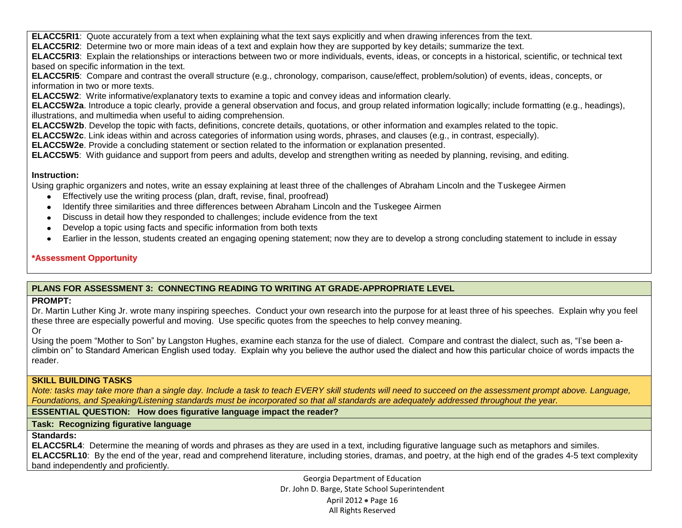**ELACC5RI1**: Quote accurately from a text when explaining what the text says explicitly and when drawing inferences from the text.

**ELACC5RI2**: Determine two or more main ideas of a text and explain how they are supported by key details; summarize the text.

**ELACC5RI3**: Explain the relationships or interactions between two or more individuals, events, ideas, or concepts in a historical, scientific, or technical text based on specific information in the text.

**ELACC5RI5**: Compare and contrast the overall structure (e.g., chronology, comparison, cause/effect, problem/solution) of events, ideas, concepts, or information in two or more texts.

**ELACC5W2**: Write informative/explanatory texts to examine a topic and convey ideas and information clearly.

**ELACC5W2a**. Introduce a topic clearly, provide a general observation and focus, and group related information logically; include formatting (e.g., headings), illustrations, and multimedia when useful to aiding comprehension.

**ELACC5W2b**. Develop the topic with facts, definitions, concrete details, quotations, or other information and examples related to the topic.

**ELACC5W2c**. Link ideas within and across categories of information using words, phrases, and clauses (e.g., in contrast, especially).

**ELACC5W2e**. Provide a concluding statement or section related to the information or explanation presented.

**ELACC5W5**: With guidance and support from peers and adults, develop and strengthen writing as needed by planning, revising, and editing.

## **Instruction:**

Using graphic organizers and notes, write an essay explaining at least three of the challenges of Abraham Lincoln and the Tuskegee Airmen

- Effectively use the writing process (plan, draft, revise, final, proofread)  $\bullet$
- Identify three similarities and three differences between Abraham Lincoln and the Tuskegee Airmen  $\bullet$
- Discuss in detail how they responded to challenges; include evidence from the text
- Develop a topic using facts and specific information from both texts  $\bullet$
- Earlier in the lesson, students created an engaging opening statement; now they are to develop a strong concluding statement to include in essay

# **\*Assessment Opportunity**

# **PLANS FOR ASSESSMENT 3: CONNECTING READING TO WRITING AT GRADE-APPROPRIATE LEVEL**

## **PROMPT:**

Dr. Martin Luther King Jr. wrote many inspiring speeches. Conduct your own research into the purpose for at least three of his speeches. Explain why you feel these three are especially powerful and moving. Use specific quotes from the speeches to help convey meaning.

Or

Using the poem "Mother to Son" by Langston Hughes, examine each stanza for the use of dialect. Compare and contrast the dialect, such as, "I'se been aclimbin on" to Standard American English used today. Explain why you believe the author used the dialect and how this particular choice of words impacts the reader.

## **SKILL BUILDING TASKS**

*Note: tasks may take more than a single day. Include a task to teach EVERY skill students will need to succeed on the assessment prompt above. Language, Foundations, and Speaking/Listening standards must be incorporated so that all standards are adequately addressed throughout the year.* 

**ESSENTIAL QUESTION: How does figurative language impact the reader?**

# **Task: Recognizing figurative language**

# **Standards:**

**ELACC5RL4**: Determine the meaning of words and phrases as they are used in a text, including figurative language such as metaphors and similes. **ELACC5RL10**: By the end of the year, read and comprehend literature, including stories, dramas, and poetry, at the high end of the grades 4-5 text complexity band independently and proficiently.

> Georgia Department of Education Dr. John D. Barge, State School Superintendent April 2012 • Page 16 All Rights Reserved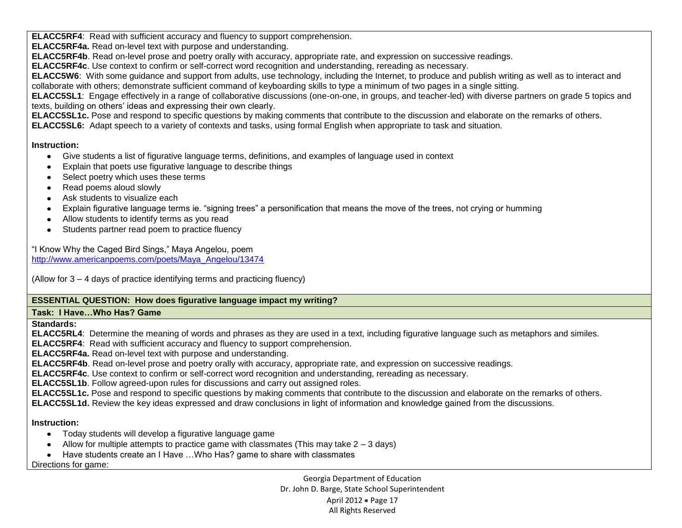**ELACC5RF4**: Read with sufficient accuracy and fluency to support comprehension.

**ELACC5RF4a.** Read on-level text with purpose and understanding.

**ELACC5RF4b**. Read on-level prose and poetry orally with accuracy, appropriate rate, and expression on successive readings.

**ELACC5RF4c**. Use context to confirm or self-correct word recognition and understanding, rereading as necessary.

**ELACC5W6**: With some guidance and support from adults, use technology, including the Internet, to produce and publish writing as well as to interact and collaborate with others; demonstrate sufficient command of keyboarding skills to type a minimum of two pages in a single sitting.

**ELACC5SL1**: Engage effectively in a range of collaborative discussions (one-on-one, in groups, and teacher-led) with diverse partners on grade 5 topics and texts, building on others' ideas and expressing their own clearly.

**ELACC5SL1c.** Pose and respond to specific questions by making comments that contribute to the discussion and elaborate on the remarks of others.

**ELACC5SL6:** Adapt speech to a variety of contexts and tasks, using formal English when appropriate to task and situation.

## **Instruction:**

- Give students a list of figurative language terms, definitions, and examples of language used in context
- Explain that poets use figurative language to describe things  $\bullet$
- Select poetry which uses these terms
- Read poems aloud slowly
- Ask students to visualize each
- Explain figurative language terms ie. "signing trees" a personification that means the move of the trees, not crying or humming
- Allow students to identify terms as you read
- Students partner read poem to practice fluency

"I Know Why the Caged Bird Sings," Maya Angelou, poem [http://www.americanpoems.com/poets/Maya\\_Angelou/13474](http://www.americanpoems.com/poets/Maya_Angelou/13474)

(Allow for 3 – 4 days of practice identifying terms and practicing fluency)

# **ESSENTIAL QUESTION: How does figurative language impact my writing?**

# **Task: I Have…Who Has? Game**

**Standards:**

**ELACC5RL4**: Determine the meaning of words and phrases as they are used in a text, including figurative language such as metaphors and similes.

**ELACC5RF4**: Read with sufficient accuracy and fluency to support comprehension.

**ELACC5RF4a.** Read on-level text with purpose and understanding.

**ELACC5RF4b**. Read on-level prose and poetry orally with accuracy, appropriate rate, and expression on successive readings.

**ELACC5RF4c**. Use context to confirm or self-correct word recognition and understanding, rereading as necessary.

**ELACC5SL1b**. Follow agreed-upon rules for discussions and carry out assigned roles.

**ELACC5SL1c.** Pose and respond to specific questions by making comments that contribute to the discussion and elaborate on the remarks of others.

**ELACC5SL1d.** Review the key ideas expressed and draw conclusions in light of information and knowledge gained from the discussions.

# **Instruction:**

- Today students will develop a figurative language game
- Allow for multiple attempts to practice game with classmates (This may take  $2 3$  days)
- Have students create an I Have ...Who Has? game to share with classmates

Directions for game:

Georgia Department of Education Dr. John D. Barge, State School Superintendent April 2012 · Page 17 All Rights Reserved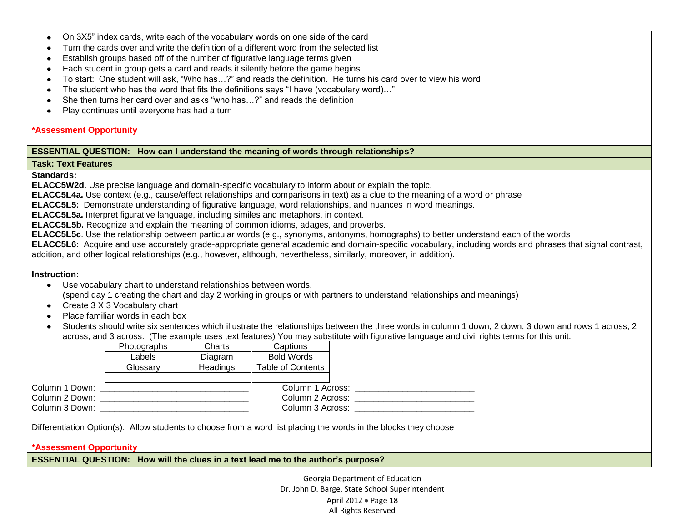- On 3X5" index cards, write each of the vocabulary words on one side of the card  $\bullet$
- Turn the cards over and write the definition of a different word from the selected list
- Establish groups based off of the number of figurative language terms given  $\bullet$
- Each student in group gets a card and reads it silently before the game begins
- To start: One student will ask, "Who has…?" and reads the definition. He turns his card over to view his word
- The student who has the word that fits the definitions says "I have (vocabulary word)..."
- She then turns her card over and asks "who has…?" and reads the definition  $\bullet$
- Play continues until everyone has had a turn  $\bullet$

### **\*Assessment Opportunity**

### **ESSENTIAL QUESTION: How can I understand the meaning of words through relationships?**

#### **Task: Text Features**

**Standards:**

**ELACC5W2d**. Use precise language and domain-specific vocabulary to inform about or explain the topic.

**ELACC5L4a.** Use context (e.g., cause/effect relationships and comparisons in text) as a clue to the meaning of a word or phrase

**ELACC5L5:** Demonstrate understanding of figurative language, word relationships, and nuances in word meanings.

**ELACC5L5a.** Interpret figurative language, including similes and metaphors, in context.

**ELACC5L5b.** Recognize and explain the meaning of common idioms, adages, and proverbs.

**ELACC5L5c**. Use the relationship between particular words (e.g., synonyms, antonyms, homographs) to better understand each of the words

**ELACC5L6:** Acquire and use accurately grade-appropriate general academic and domain-specific vocabulary, including words and phrases that signal contrast, addition, and other logical relationships (e.g., however, although, nevertheless, similarly, moreover, in addition).

### **Instruction:**

- Use vocabulary chart to understand relationships between words. (spend day 1 creating the chart and day 2 working in groups or with partners to understand relationships and meanings)
- Create 3 X 3 Vocabulary chart
- Place familiar words in each box
- Students should write six sentences which illustrate the relationships between the three words in column 1 down, 2 down, 3 down and rows 1 across, 2 across, and 3 across. (The example uses text features) You may substitute with figurative language and civil rights terms for this unit.

|                | Photographs | Charts          | Captions                 |  |
|----------------|-------------|-----------------|--------------------------|--|
|                | Labels      | Diagram         | <b>Bold Words</b>        |  |
|                | Glossarv    | <b>Headings</b> | <b>Table of Contents</b> |  |
|                |             |                 |                          |  |
| Column 1 Down: |             |                 | Column 1 Across:         |  |
| Column 2 Down: |             |                 | Column 2 Across:         |  |
| Column 3 Down: |             |                 | Column 3 Across:         |  |

Differentiation Option(s): Allow students to choose from a word list placing the words in the blocks they choose

#### **\*Assessment Opportunity**

**ESSENTIAL QUESTION: How will the clues in a text lead me to the author's purpose?**

Georgia Department of Education Dr. John D. Barge, State School Superintendent April 2012 • Page 18 All Rights Reserved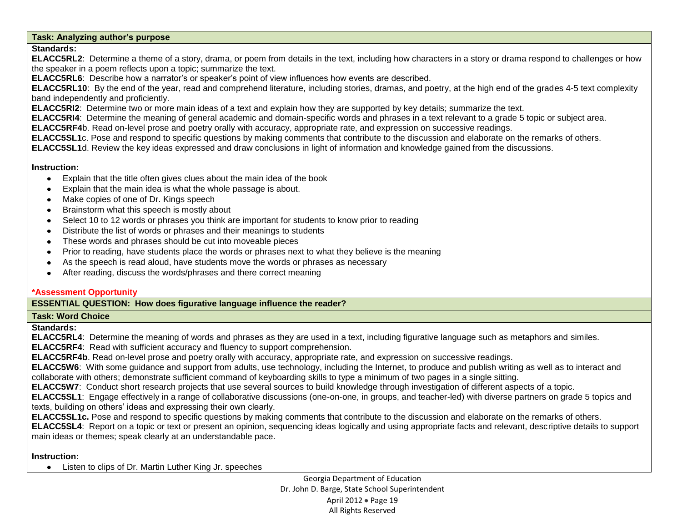## **Task: Analyzing author's purpose**

## **Standards:**

**ELACC5RL2**: Determine a theme of a story, drama, or poem from details in the text, including how characters in a story or drama respond to challenges or how the speaker in a poem reflects upon a topic; summarize the text.

**ELACC5RL6**: Describe how a narrator's or speaker's point of view influences how events are described.

**ELACC5RL10**: By the end of the year, read and comprehend literature, including stories, dramas, and poetry, at the high end of the grades 4-5 text complexity band independently and proficiently.

**ELACC5RI2**: Determine two or more main ideas of a text and explain how they are supported by key details; summarize the text.

**ELACC5RI4**: Determine the meaning of general academic and domain-specific words and phrases in a text relevant to a grade 5 topic or subject area.

**ELACC5RF4**b. Read on-level prose and poetry orally with accuracy, appropriate rate, and expression on successive readings.

**ELACC5SL1**c. Pose and respond to specific questions by making comments that contribute to the discussion and elaborate on the remarks of others.

**ELACC5SL1**d. Review the key ideas expressed and draw conclusions in light of information and knowledge gained from the discussions.

### **Instruction:**

- Explain that the title often gives clues about the main idea of the book  $\bullet$
- Explain that the main idea is what the whole passage is about.  $\bullet$
- Make copies of one of Dr. Kings speech  $\bullet$
- Brainstorm what this speech is mostly about
- Select 10 to 12 words or phrases you think are important for students to know prior to reading  $\bullet$
- Distribute the list of words or phrases and their meanings to students  $\bullet$
- These words and phrases should be cut into moveable pieces
- Prior to reading, have students place the words or phrases next to what they believe is the meaning  $\bullet$
- As the speech is read aloud, have students move the words or phrases as necessary  $\bullet$
- After reading, discuss the words/phrases and there correct meaning

### **\*Assessment Opportunity**

## **ESSENTIAL QUESTION: How does figurative language influence the reader?**

### **Task: Word Choice**

### **Standards:**

**ELACC5RL4**: Determine the meaning of words and phrases as they are used in a text, including figurative language such as metaphors and similes.

**ELACC5RF4**: Read with sufficient accuracy and fluency to support comprehension.

**ELACC5RF4b**. Read on-level prose and poetry orally with accuracy, appropriate rate, and expression on successive readings.

**ELACC5W6**: With some guidance and support from adults, use technology, including the Internet, to produce and publish writing as well as to interact and collaborate with others; demonstrate sufficient command of keyboarding skills to type a minimum of two pages in a single sitting.

**ELACC5W7**: Conduct short research projects that use several sources to build knowledge through investigation of different aspects of a topic.

**ELACC5SL1**: Engage effectively in a range of collaborative discussions (one-on-one, in groups, and teacher-led) with diverse partners on grade 5 topics and texts, building on others' ideas and expressing their own clearly.

**ELACC5SL1c.** Pose and respond to specific questions by making comments that contribute to the discussion and elaborate on the remarks of others.

**ELACC5SL4**: Report on a topic or text or present an opinion, sequencing ideas logically and using appropriate facts and relevant, descriptive details to support main ideas or themes; speak clearly at an understandable pace.

## **Instruction:**

Listen to clips of Dr. Martin Luther King Jr. speeches

Georgia Department of Education Dr. John D. Barge, State School Superintendent April 2012 · Page 19 All Rights Reserved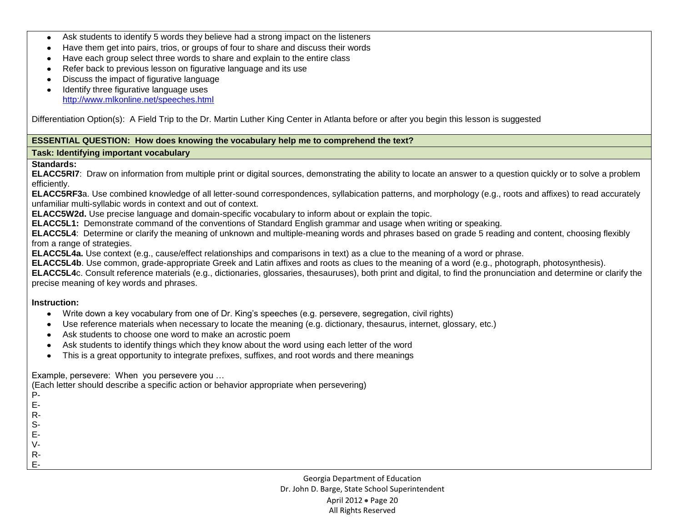- Ask students to identify 5 words they believe had a strong impact on the listeners  $\bullet$
- Have them get into pairs, trios, or groups of four to share and discuss their words  $\bullet$
- Have each group select three words to share and explain to the entire class  $\bullet$
- Refer back to previous lesson on figurative language and its use  $\bullet$
- Discuss the impact of figurative language
- Identify three figurative language uses  $\bullet$ <http://www.mlkonline.net/speeches.html>

Differentiation Option(s): A Field Trip to the Dr. Martin Luther King Center in Atlanta before or after you begin this lesson is suggested

### **ESSENTIAL QUESTION: How does knowing the vocabulary help me to comprehend the text?**

#### **Task: Identifying important vocabulary**

#### **Standards:**

**ELACC5RI7**: Draw on information from multiple print or digital sources, demonstrating the ability to locate an answer to a question quickly or to solve a problem efficiently.

**ELACC5RF3**a. Use combined knowledge of all letter-sound correspondences, syllabication patterns, and morphology (e.g., roots and affixes) to read accurately unfamiliar multi-syllabic words in context and out of context.

**ELACC5W2d.** Use precise language and domain-specific vocabulary to inform about or explain the topic.

**ELACC5L1:** Demonstrate command of the conventions of Standard English grammar and usage when writing or speaking.

**ELACC5L4**: Determine or clarify the meaning of unknown and multiple-meaning words and phrases based on grade 5 reading and content, choosing flexibly from a range of strategies.

**ELACC5L4a.** Use context (e.g., cause/effect relationships and comparisons in text) as a clue to the meaning of a word or phrase.

**ELACC5L4b**. Use common, grade-appropriate Greek and Latin affixes and roots as clues to the meaning of a word (e.g., photograph, photosynthesis).

**ELACC5L4**c. Consult reference materials (e.g., dictionaries, glossaries, thesauruses), both print and digital, to find the pronunciation and determine or clarify the precise meaning of key words and phrases.

### **Instruction:**

- Write down a key vocabulary from one of Dr. King's speeches (e.g. persevere, segregation, civil rights)
- Use reference materials when necessary to locate the meaning (e.g. dictionary, thesaurus, internet, glossary, etc.)
- Ask students to choose one word to make an acrostic poem  $\bullet$
- Ask students to identify things which they know about the word using each letter of the word  $\bullet$
- This is a great opportunity to integrate prefixes, suffixes, and root words and there meanings

Example, persevere: When you persevere you …

(Each letter should describe a specific action or behavior appropriate when persevering)

- P-
- E-
- R-S-
- E-
- V-
- 
- R-E-

Georgia Department of Education Dr. John D. Barge, State School Superintendent April 2012 • Page 20 All Rights Reserved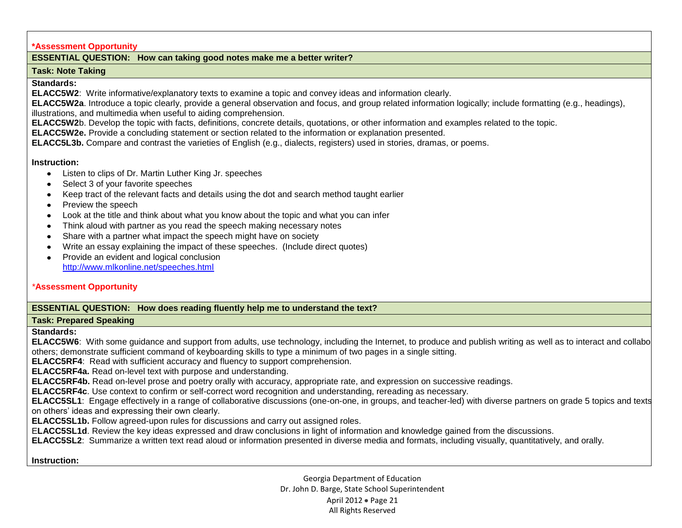#### **\*Assessment Opportunity**

## **ESSENTIAL QUESTION: How can taking good notes make me a better writer?**

#### **Task: Note Taking**

**Standards:** 

**ELACC5W2**: Write informative/explanatory texts to examine a topic and convey ideas and information clearly.

**ELACC5W2a**. Introduce a topic clearly, provide a general observation and focus, and group related information logically; include formatting (e.g., headings), illustrations, and multimedia when useful to aiding comprehension.

**ELACC5W2**b. Develop the topic with facts, definitions, concrete details, quotations, or other information and examples related to the topic.

**ELACC5W2e.** Provide a concluding statement or section related to the information or explanation presented.

**ELACC5L3b.** Compare and contrast the varieties of English (e.g., dialects, registers) used in stories, dramas, or poems.

#### **Instruction:**

- Listen to clips of Dr. Martin Luther King Jr. speeches
- Select 3 of your favorite speeches
- Keep tract of the relevant facts and details using the dot and search method taught earlier
- Preview the speech
- Look at the title and think about what you know about the topic and what you can infer
- Think aloud with partner as you read the speech making necessary notes
- Share with a partner what impact the speech might have on society  $\bullet$
- Write an essay explaining the impact of these speeches. (Include direct quotes)
- Provide an evident and logical conclusion  $\bullet$ <http://www.mlkonline.net/speeches.html>

### *\****Assessment Opportunity**

## **ESSENTIAL QUESTION: How does reading fluently help me to understand the text?**

### **Task: Prepared Speaking**

**Standards:**

ELACC5W6: With some guidance and support from adults, use technology, including the Internet, to produce and publish writing as well as to interact and collabo others; demonstrate sufficient command of keyboarding skills to type a minimum of two pages in a single sitting.

**ELACC5RF4**: Read with sufficient accuracy and fluency to support comprehension.

**ELACC5RF4a.** Read on-level text with purpose and understanding.

**ELACC5RF4b.** Read on-level prose and poetry orally with accuracy, appropriate rate, and expression on successive readings.

**ELACC5RF4c**. Use context to confirm or self-correct word recognition and understanding, rereading as necessary.

ELACC5SL1: Engage effectively in a range of collaborative discussions (one-on-one, in groups, and teacher-led) with diverse partners on grade 5 topics and texts on others' ideas and expressing their own clearly.

**ELACC5SL1b.** Follow agreed-upon rules for discussions and carry out assigned roles.

E**LACC5SL1d**. Review the key ideas expressed and draw conclusions in light of information and knowledge gained from the discussions.

**ELACC5SL2**: Summarize a written text read aloud or information presented in diverse media and formats, including visually, quantitatively, and orally.

**Instruction:** 

Georgia Department of Education Dr. John D. Barge, State School Superintendent April 2012 • Page 21 All Rights Reserved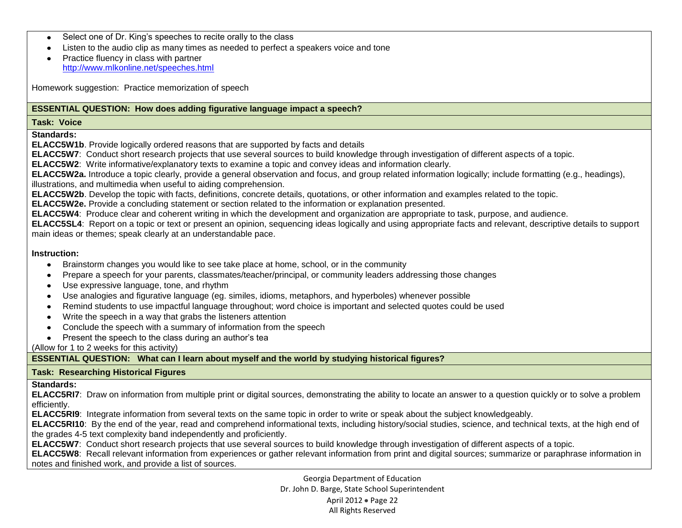- Select one of Dr. King's speeches to recite orally to the class
- Listen to the audio clip as many times as needed to perfect a speakers voice and tone  $\bullet$
- Practice fluency in class with partner <http://www.mlkonline.net/speeches.html>

Homework suggestion: Practice memorization of speech

## **ESSENTIAL QUESTION: How does adding figurative language impact a speech?**

#### **Task: Voice**

**Standards:**

**ELACC5W1b**. Provide logically ordered reasons that are supported by facts and details

**ELACC5W7**: Conduct short research projects that use several sources to build knowledge through investigation of different aspects of a topic.

**ELACC5W2**: Write informative/explanatory texts to examine a topic and convey ideas and information clearly.

**ELACC5W2a.** Introduce a topic clearly, provide a general observation and focus, and group related information logically; include formatting (e.g., headings), illustrations, and multimedia when useful to aiding comprehension.

**ELACC5W2b**. Develop the topic with facts, definitions, concrete details, quotations, or other information and examples related to the topic.

**ELACC5W2e.** Provide a concluding statement or section related to the information or explanation presented.

**ELACC5W4**: Produce clear and coherent writing in which the development and organization are appropriate to task, purpose, and audience.

**ELACC5SL4**: Report on a topic or text or present an opinion, sequencing ideas logically and using appropriate facts and relevant, descriptive details to support main ideas or themes; speak clearly at an understandable pace.

#### **Instruction:**

- $\bullet$ Brainstorm changes you would like to see take place at home, school, or in the community
- Prepare a speech for your parents, classmates/teacher/principal, or community leaders addressing those changes
- Use expressive language, tone, and rhythm  $\bullet$
- Use analogies and figurative language (eg. similes, idioms, metaphors, and hyperboles) whenever possible
- Remind students to use impactful language throughout; word choice is important and selected quotes could be used  $\bullet$
- Write the speech in a way that grabs the listeners attention
- Conclude the speech with a summary of information from the speech  $\bullet$
- Present the speech to the class during an author's tea

(Allow for 1 to 2 weeks for this activity)

# **ESSENTIAL QUESTION: What can I learn about myself and the world by studying historical figures?**

## **Task: Researching Historical Figures**

### **Standards:**

**ELACC5RI7**: Draw on information from multiple print or digital sources, demonstrating the ability to locate an answer to a question quickly or to solve a problem efficiently.

**ELACC5RI9**: Integrate information from several texts on the same topic in order to write or speak about the subject knowledgeably.

**ELACC5RI10**: By the end of the year, read and comprehend informational texts, including history/social studies, science, and technical texts, at the high end of the grades 4-5 text complexity band independently and proficiently.

**ELACC5W7**: Conduct short research projects that use several sources to build knowledge through investigation of different aspects of a topic.

**ELACC5W8**: Recall relevant information from experiences or gather relevant information from print and digital sources; summarize or paraphrase information in notes and finished work, and provide a list of sources.

> Georgia Department of Education Dr. John D. Barge, State School Superintendent April 2012 • Page 22 All Rights Reserved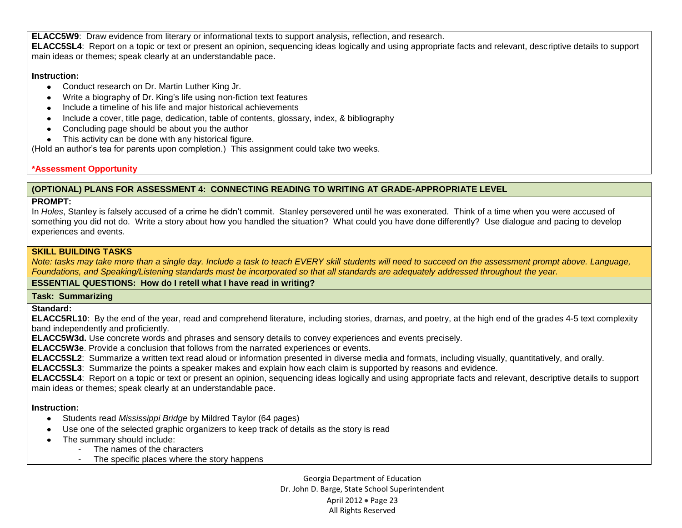**ELACC5W9**: Draw evidence from literary or informational texts to support analysis, reflection, and research. **ELACC5SL4**: Report on a topic or text or present an opinion, sequencing ideas logically and using appropriate facts and relevant, descriptive details to support main ideas or themes; speak clearly at an understandable pace.

### **Instruction:**

- Conduct research on Dr. Martin Luther King Jr.
- Write a biography of Dr. King's life using non-fiction text features
- Include a timeline of his life and major historical achievements
- Include a cover, title page, dedication, table of contents, glossary, index, & bibliography
- Concluding page should be about you the author
- This activity can be done with any historical figure.

(Hold an author's tea for parents upon completion.) This assignment could take two weeks.

# **\*Assessment Opportunity**

# **(OPTIONAL) PLANS FOR ASSESSMENT 4: CONNECTING READING TO WRITING AT GRADE-APPROPRIATE LEVEL**

# **PROMPT:**

In *Holes*, Stanley is falsely accused of a crime he didn't commit. Stanley persevered until he was exonerated. Think of a time when you were accused of something you did not do. Write a story about how you handled the situation? What could you have done differently? Use dialogue and pacing to develop experiences and events.

## **SKILL BUILDING TASKS**

*Note: tasks may take more than a single day. Include a task to teach EVERY skill students will need to succeed on the assessment prompt above. Language, Foundations, and Speaking/Listening standards must be incorporated so that all standards are adequately addressed throughout the year.* 

# **ESSENTIAL QUESTIONS: How do I retell what I have read in writing?**

# **Task: Summarizing**

**Standard:**

**ELACC5RL10**: By the end of the year, read and comprehend literature, including stories, dramas, and poetry, at the high end of the grades 4-5 text complexity band independently and proficiently.

**ELACC5W3d.** Use concrete words and phrases and sensory details to convey experiences and events precisely.

**ELACC5W3e**. Provide a conclusion that follows from the narrated experiences or events.

**ELACC5SL2**: Summarize a written text read aloud or information presented in diverse media and formats, including visually, quantitatively, and orally.

**ELACC5SL3**: Summarize the points a speaker makes and explain how each claim is supported by reasons and evidence.

**ELACC5SL4**: Report on a topic or text or present an opinion, sequencing ideas logically and using appropriate facts and relevant, descriptive details to support main ideas or themes; speak clearly at an understandable pace.

## **Instruction:**

- Students read *Mississippi Bridge* by Mildred Taylor (64 pages)
- Use one of the selected graphic organizers to keep track of details as the story is read
- The summary should include:
	- The names of the characters
		- The specific places where the story happens

Georgia Department of Education Dr. John D. Barge, State School Superintendent April 2012 • Page 23 All Rights Reserved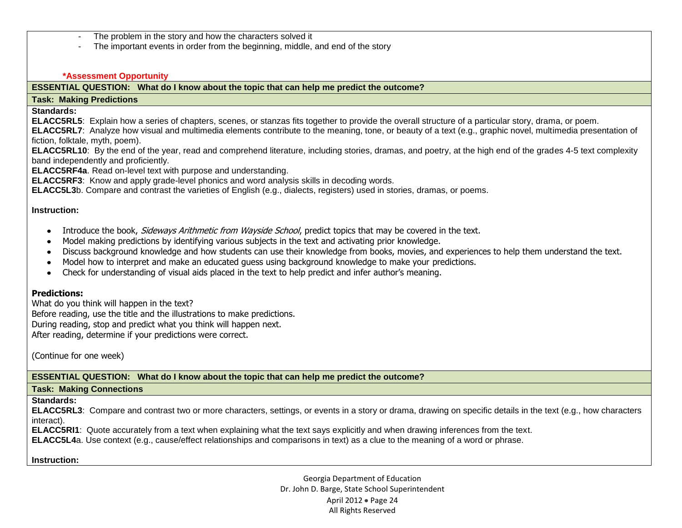- The problem in the story and how the characters solved it
- The important events in order from the beginning, middle, and end of the story

#### **\*Assessment Opportunity**

### **ESSENTIAL QUESTION: What do I know about the topic that can help me predict the outcome?**

#### **Task: Making Predictions**

**Standards:**

**ELACC5RL5**: Explain how a series of chapters, scenes, or stanzas fits together to provide the overall structure of a particular story, drama, or poem.

**ELACC5RL7**: Analyze how visual and multimedia elements contribute to the meaning, tone, or beauty of a text (e.g., graphic novel, multimedia presentation of fiction, folktale, myth, poem).

**ELACC5RL10**: By the end of the year, read and comprehend literature, including stories, dramas, and poetry, at the high end of the grades 4-5 text complexity band independently and proficiently.

**ELACC5RF4a**. Read on-level text with purpose and understanding.

**ELACC5RF3**: Know and apply grade-level phonics and word analysis skills in decoding words.

**ELACC5L3**b. Compare and contrast the varieties of English (e.g., dialects, registers) used in stories, dramas, or poems.

#### **Instruction:**

- Introduce the book, Sideways Arithmetic from Wayside School, predict topics that may be covered in the text.
- Model making predictions by identifying various subjects in the text and activating prior knowledge.
- Discuss background knowledge and how students can use their knowledge from books, movies, and experiences to help them understand the text.
- Model how to interpret and make an educated guess using background knowledge to make your predictions.
- Check for understanding of visual aids placed in the text to help predict and infer author's meaning.

### **Predictions:**

What do you think will happen in the text? Before reading, use the title and the illustrations to make predictions. During reading, stop and predict what you think will happen next.

After reading, determine if your predictions were correct.

(Continue for one week)

**ESSENTIAL QUESTION: What do I know about the topic that can help me predict the outcome?**

#### **Task: Making Connections**

#### **Standards:**

**ELACC5RL3**: Compare and contrast two or more characters, settings, or events in a story or drama, drawing on specific details in the text (e.g., how characters interact).

**ELACC5RI1**: Quote accurately from a text when explaining what the text says explicitly and when drawing inferences from the text.

**ELACC5L4**a. Use context (e.g., cause/effect relationships and comparisons in text) as a clue to the meaning of a word or phrase.

### **Instruction:**

Georgia Department of Education Dr. John D. Barge, State School Superintendent April 2012 • Page 24 All Rights Reserved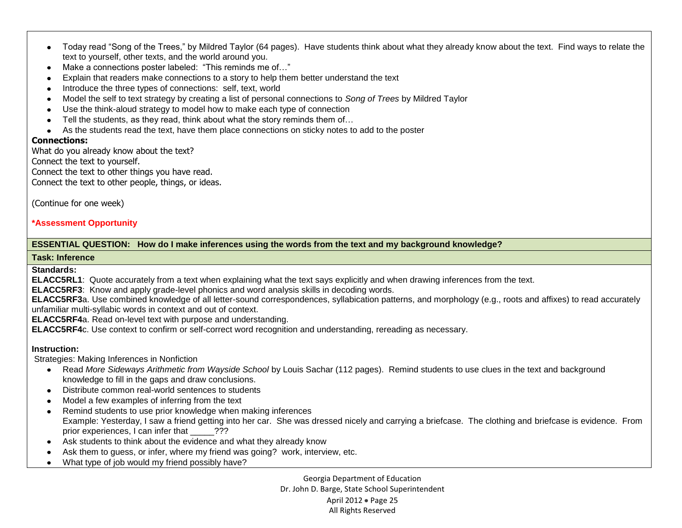- Today read "Song of the Trees," by Mildred Taylor (64 pages). Have students think about what they already know about the text. Find ways to relate the text to yourself, other texts, and the world around you.
- Make a connections poster labeled: "This reminds me of…"
- Explain that readers make connections to a story to help them better understand the text  $\bullet$
- Introduce the three types of connections: self, text, world
- Model the self to text strategy by creating a list of personal connections to *Song of Trees* by Mildred Taylor  $\bullet$
- Use the think-aloud strategy to model how to make each type of connection  $\bullet$
- Tell the students, as they read, think about what the story reminds them of…
- As the students read the text, have them place connections on sticky notes to add to the poster

### **Connections:**

What do you already know about the text?

Connect the text to yourself.

Connect the text to other things you have read.

Connect the text to other people, things, or ideas.

(Continue for one week)

## **\*Assessment Opportunity**

## **ESSENTIAL QUESTION: How do I make inferences using the words from the text and my background knowledge?**

#### **Task: Inference**

**Standards:**

**ELACC5RL1**: Quote accurately from a text when explaining what the text says explicitly and when drawing inferences from the text.

**ELACC5RF3**: Know and apply grade-level phonics and word analysis skills in decoding words.

**ELACC5RF3**a. Use combined knowledge of all letter-sound correspondences, syllabication patterns, and morphology (e.g., roots and affixes) to read accurately unfamiliar multi-syllabic words in context and out of context.

**ELACC5RF4**a. Read on-level text with purpose and understanding.

**ELACC5RF4**c. Use context to confirm or self-correct word recognition and understanding, rereading as necessary.

## **Instruction:**

Strategies: Making Inferences in Nonfiction

- Read *More Sideways Arithmetic from Wayside School* by Louis Sachar (112 pages). Remind students to use clues in the text and background knowledge to fill in the gaps and draw conclusions.
- Distribute common real-world sentences to students
- Model a few examples of inferring from the text
- Remind students to use prior knowledge when making inferences Example: Yesterday, I saw a friend getting into her car. She was dressed nicely and carrying a briefcase. The clothing and briefcase is evidence. From prior experiences, I can infer that  $\overline{???}$
- Ask students to think about the evidence and what they already know
- Ask them to guess, or infer, where my friend was going? work, interview, etc.
- What type of job would my friend possibly have?

Georgia Department of Education Dr. John D. Barge, State School Superintendent April 2012 • Page 25 All Rights Reserved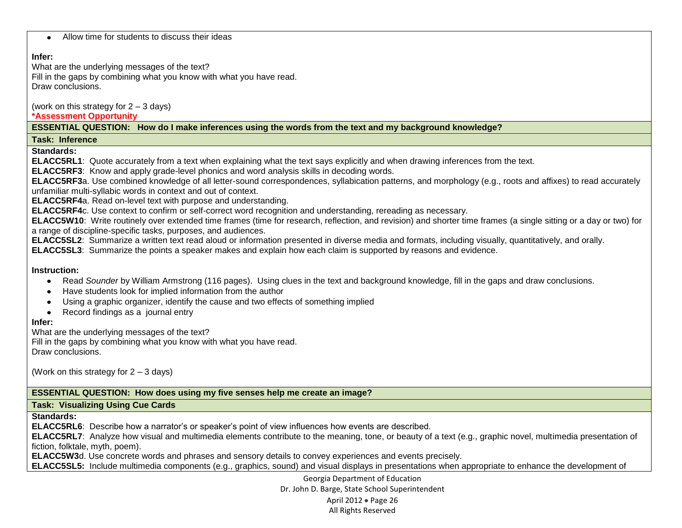|  | Allow time for students to discuss their ideas |  |  |
|--|------------------------------------------------|--|--|
|--|------------------------------------------------|--|--|

### **Infer:**

What are the underlying messages of the text?

Fill in the gaps by combining what you know with what you have read. Draw conclusions.

(work on this strategy for 2 – 3 days)

## **\*Assessment Opportunity**

**ESSENTIAL QUESTION: How do I make inferences using the words from the text and my background knowledge?**

## **Task: Inference**

**Standards:**

**ELACC5RL1**: Quote accurately from a text when explaining what the text says explicitly and when drawing inferences from the text.

**ELACC5RF3**: Know and apply grade-level phonics and word analysis skills in decoding words.

**ELACC5RF3**a. Use combined knowledge of all letter-sound correspondences, syllabication patterns, and morphology (e.g., roots and affixes) to read accurately unfamiliar multi-syllabic words in context and out of context.

**ELACC5RF4**a. Read on-level text with purpose and understanding.

**ELACC5RF4**c. Use context to confirm or self-correct word recognition and understanding, rereading as necessary.

**ELACC5W10**: Write routinely over extended time frames (time for research, reflection, and revision) and shorter time frames (a single sitting or a day or two) for a range of discipline-specific tasks, purposes, and audiences.

**ELACC5SL2**: Summarize a written text read aloud or information presented in diverse media and formats, including visually, quantitatively, and orally.

**ELACC5SL3**: Summarize the points a speaker makes and explain how each claim is supported by reasons and evidence.

### **Instruction:**

- Read *Sounder* by William Armstrong (116 pages). Using clues in the text and background knowledge, fill in the gaps and draw conclusions.  $\bullet$
- Have students look for implied information from the author
- Using a graphic organizer, identify the cause and two effects of something implied
- Record findings as a journal entry

# **Infer:**

What are the underlying messages of the text?

Fill in the gaps by combining what you know with what you have read. Draw conclusions.

(Work on this strategy for 2 – 3 days)

## **ESSENTIAL QUESTION: How does using my five senses help me create an image?**

## **Task: Visualizing Using Cue Cards**

**Standards:** 

**ELACC5RL6**: Describe how a narrator's or speaker's point of view influences how events are described.

**ELACC5RL7**: Analyze how visual and multimedia elements contribute to the meaning, tone, or beauty of a text (e.g., graphic novel, multimedia presentation of fiction, folktale, myth, poem).

**ELACC5W3**d. Use concrete words and phrases and sensory details to convey experiences and events precisely.

**ELACC5SL5:** Include multimedia components (e.g., graphics, sound) and visual displays in presentations when appropriate to enhance the development of

Georgia Department of Education Dr. John D. Barge, State School Superintendent April 2012 · Page 26 All Rights Reserved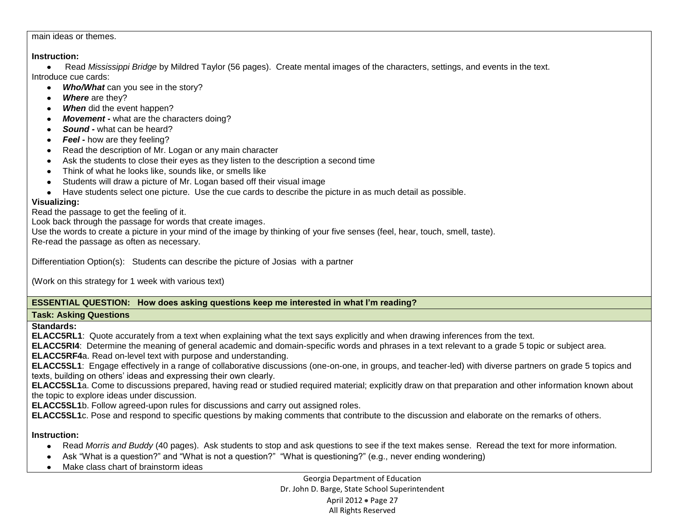#### main ideas or themes.

#### **Instruction:**

Read *Mississippi Bridge* by Mildred Taylor (56 pages). Create mental images of the characters, settings, and events in the text. Introduce cue cards:

- Who/What can you see in the story?
- Where are they?
- When did the event happen?
- *Movement -* what are the characters doing?
- *Sound -* what can be heard?
- **Feel -** how are they feeling?
- Read the description of Mr. Logan or any main character
- Ask the students to close their eyes as they listen to the description a second time
- Think of what he looks like, sounds like, or smells like
- Students will draw a picture of Mr. Logan based off their visual image
- Have students select one picture. Use the cue cards to describe the picture in as much detail as possible.

## **Visualizing:**

Read the passage to get the feeling of it.

Look back through the passage for words that create images.

Use the words to create a picture in your mind of the image by thinking of your five senses (feel, hear, touch, smell, taste). Re-read the passage as often as necessary.

Differentiation Option(s): Students can describe the picture of Josias with a partner

(Work on this strategy for 1 week with various text)

## **ESSENTIAL QUESTION: How does asking questions keep me interested in what I'm reading?**

### **Task: Asking Questions**

**Standards:**

**ELACC5RL1**: Quote accurately from a text when explaining what the text says explicitly and when drawing inferences from the text.

**ELACC5RI4**: Determine the meaning of general academic and domain-specific words and phrases in a text relevant to a grade 5 topic or subject area.

**ELACC5RF4**a. Read on-level text with purpose and understanding.

**ELACC5SL1**: Engage effectively in a range of collaborative discussions (one-on-one, in groups, and teacher-led) with diverse partners on grade 5 topics and texts, building on others' ideas and expressing their own clearly.

**ELACC5SL1**a. Come to discussions prepared, having read or studied required material; explicitly draw on that preparation and other information known about the topic to explore ideas under discussion.

**ELACC5SL1**b. Follow agreed-upon rules for discussions and carry out assigned roles.

**ELACC5SL1**c. Pose and respond to specific questions by making comments that contribute to the discussion and elaborate on the remarks of others.

## **Instruction:**

- Read *Morris and Buddy* (40 pages). Ask students to stop and ask questions to see if the text makes sense. Reread the text for more information.
- Ask "What is a question?" and "What is not a question?" "What is questioning?" (e.g., never ending wondering)
- Make class chart of brainstorm ideas

Georgia Department of Education Dr. John D. Barge, State School Superintendent April 2012 • Page 27 All Rights Reserved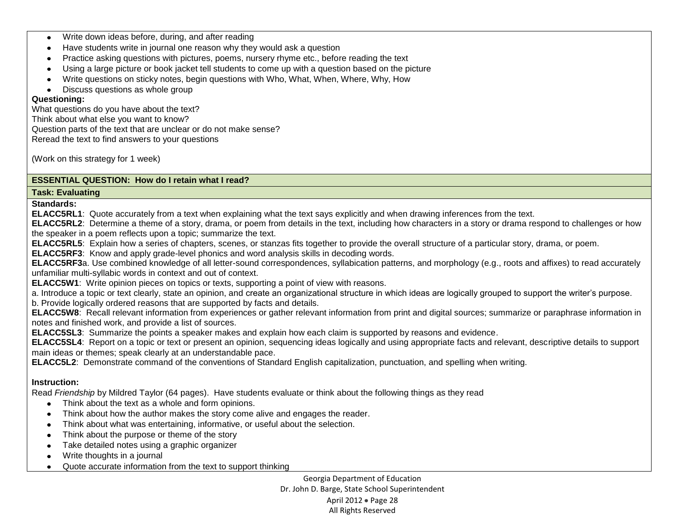- Write down ideas before, during, and after reading  $\bullet$
- Have students write in journal one reason why they would ask a question  $\bullet$  .
- Practice asking questions with pictures, poems, nursery rhyme etc., before reading the text  $\bullet$
- Using a large picture or book jacket tell students to come up with a question based on the picture  $\bullet$
- Write questions on sticky notes, begin questions with Who, What, When, Where, Why, How  $\bullet$
- $\bullet$ Discuss questions as whole group

## **Questioning:**

What questions do you have about the text? Think about what else you want to know? Question parts of the text that are unclear or do not make sense? Reread the text to find answers to your questions

(Work on this strategy for 1 week)

## **ESSENTIAL QUESTION: How do I retain what I read?**

#### **Task: Evaluating**

**Standards:**

**ELACC5RL1**: Quote accurately from a text when explaining what the text says explicitly and when drawing inferences from the text.

**ELACC5RL2**: Determine a theme of a story, drama, or poem from details in the text, including how characters in a story or drama respond to challenges or how the speaker in a poem reflects upon a topic; summarize the text.

**ELACC5RL5**: Explain how a series of chapters, scenes, or stanzas fits together to provide the overall structure of a particular story, drama, or poem.

**ELACC5RF3**: Know and apply grade-level phonics and word analysis skills in decoding words.

**ELACC5RF3**a. Use combined knowledge of all letter-sound correspondences, syllabication patterns, and morphology (e.g., roots and affixes) to read accurately unfamiliar multi-syllabic words in context and out of context.

**ELACC5W1**: Write opinion pieces on topics or texts, supporting a point of view with reasons.

a. Introduce a topic or text clearly, state an opinion, and create an organizational structure in which ideas are logically grouped to support the writer's purpose.

b. Provide logically ordered reasons that are supported by facts and details.

**ELACC5W8**: Recall relevant information from experiences or gather relevant information from print and digital sources; summarize or paraphrase information in notes and finished work, and provide a list of sources.

**ELACC5SL3**: Summarize the points a speaker makes and explain how each claim is supported by reasons and evidence.

**ELACC5SL4**: Report on a topic or text or present an opinion, sequencing ideas logically and using appropriate facts and relevant, descriptive details to support main ideas or themes; speak clearly at an understandable pace.

**ELACC5L2**: Demonstrate command of the conventions of Standard English capitalization, punctuation, and spelling when writing.

# **Instruction:**

Read *Friendship* by Mildred Taylor (64 pages). Have students evaluate or think about the following things as they read

- Think about the text as a whole and form opinions.
- Think about how the author makes the story come alive and engages the reader.
- Think about what was entertaining, informative, or useful about the selection.
- Think about the purpose or theme of the story
- Take detailed notes using a graphic organizer
- Write thoughts in a journal  $\bullet$
- Quote accurate information from the text to support thinking $\bullet$

Georgia Department of Education Dr. John D. Barge, State School Superintendent April 2012 • Page 28 All Rights Reserved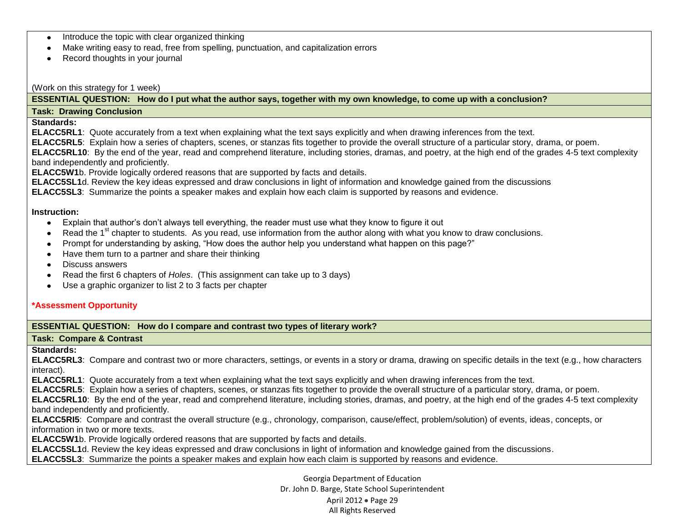- Introduce the topic with clear organized thinking
- Make writing easy to read, free from spelling, punctuation, and capitalization errors
- Record thoughts in your journal

#### (Work on this strategy for 1 week)

**ESSENTIAL QUESTION: How do I put what the author says, together with my own knowledge, to come up with a conclusion?**

#### **Task: Drawing Conclusion**

## **Standards:**

**ELACC5RL1**: Quote accurately from a text when explaining what the text says explicitly and when drawing inferences from the text.

**ELACC5RL5**: Explain how a series of chapters, scenes, or stanzas fits together to provide the overall structure of a particular story, drama, or poem.

**ELACC5RL10**: By the end of the year, read and comprehend literature, including stories, dramas, and poetry, at the high end of the grades 4-5 text complexity band independently and proficiently.

**ELACC5W1**b. Provide logically ordered reasons that are supported by facts and details.

**ELACC5SL1**d. Review the key ideas expressed and draw conclusions in light of information and knowledge gained from the discussions

**ELACC5SL3**: Summarize the points a speaker makes and explain how each claim is supported by reasons and evidence.

### **Instruction:**

- Explain that author's don't always tell everything, the reader must use what they know to figure it out  $\bullet$
- Read the 1<sup>st</sup> chapter to students. As you read, use information from the author along with what you know to draw conclusions.
- Prompt for understanding by asking, "How does the author help you understand what happen on this page?"  $\bullet$
- Have them turn to a partner and share their thinking
- Discuss answers  $\bullet$
- Read the first 6 chapters of *Holes*. (This assignment can take up to 3 days)  $\bullet$
- Use a graphic organizer to list 2 to 3 facts per chapter  $\bullet$

### **\*Assessment Opportunity**

### **ESSENTIAL QUESTION: How do I compare and contrast two types of literary work?**

### **Task: Compare & Contrast**

**Standards:**

**ELACC5RL3**: Compare and contrast two or more characters, settings, or events in a story or drama, drawing on specific details in the text (e.g., how characters interact).

**ELACC5RL1**: Quote accurately from a text when explaining what the text says explicitly and when drawing inferences from the text.

**ELACC5RL5**: Explain how a series of chapters, scenes, or stanzas fits together to provide the overall structure of a particular story, drama, or poem.

**ELACC5RL10**: By the end of the year, read and comprehend literature, including stories, dramas, and poetry, at the high end of the grades 4-5 text complexity band independently and proficiently.

**ELACC5RI5**: Compare and contrast the overall structure (e.g., chronology, comparison, cause/effect, problem/solution) of events, ideas, concepts, or information in two or more texts.

**ELACC5W1**b. Provide logically ordered reasons that are supported by facts and details.

**ELACC5SL1**d. Review the key ideas expressed and draw conclusions in light of information and knowledge gained from the discussions.

**ELACC5SL3**: Summarize the points a speaker makes and explain how each claim is supported by reasons and evidence.

Georgia Department of Education Dr. John D. Barge, State School Superintendent April 2012 • Page 29 All Rights Reserved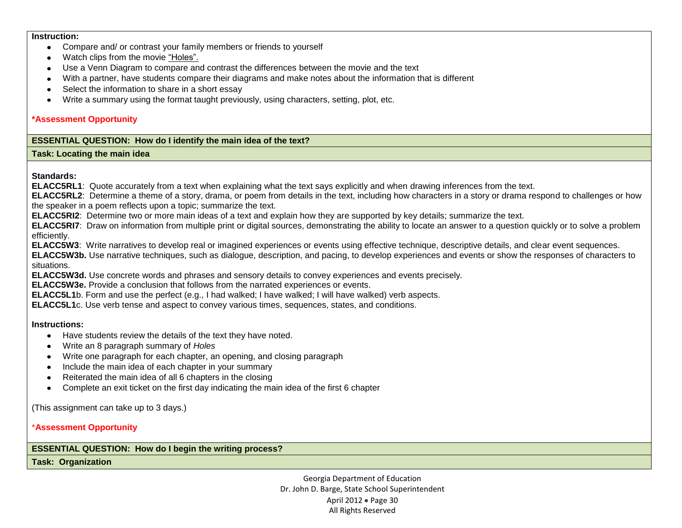#### **Instruction:**

- Compare and/ or contrast your family members or friends to yourself
- Watch clips from the movie "Holes".
- Use a Venn Diagram to compare and contrast the differences between the movie and the text
- With a partner, have students compare their diagrams and make notes about the information that is different
- Select the information to share in a short essay
- Write a summary using the format taught previously, using characters, setting, plot, etc.

#### **\*Assessment Opportunity**

### **ESSENTIAL QUESTION: How do I identify the main idea of the text?**

#### **Task: Locating the main idea**

**Standards:**

**ELACC5RL1**: Quote accurately from a text when explaining what the text says explicitly and when drawing inferences from the text.

**ELACC5RL2**: Determine a theme of a story, drama, or poem from details in the text, including how characters in a story or drama respond to challenges or how the speaker in a poem reflects upon a topic; summarize the text.

**ELACC5RI2**: Determine two or more main ideas of a text and explain how they are supported by key details; summarize the text.

**ELACC5RI7**: Draw on information from multiple print or digital sources, demonstrating the ability to locate an answer to a question quickly or to solve a problem efficiently.

**ELACC5W3**: Write narratives to develop real or imagined experiences or events using effective technique, descriptive details, and clear event sequences.

**ELACC5W3b.** Use narrative techniques, such as dialogue, description, and pacing, to develop experiences and events or show the responses of characters to situations.

**ELACC5W3d.** Use concrete words and phrases and sensory details to convey experiences and events precisely.

**ELACC5W3e.** Provide a conclusion that follows from the narrated experiences or events.

**ELACC5L1**b. Form and use the perfect (e.g., I had walked; I have walked; I will have walked) verb aspects.

**ELACC5L1**c. Use verb tense and aspect to convey various times, sequences, states, and conditions.

### **Instructions:**

- Have students review the details of the text they have noted.
- Write an 8 paragraph summary of *Holes*
- Write one paragraph for each chapter, an opening, and closing paragraph
- Include the main idea of each chapter in your summary
- Reiterated the main idea of all 6 chapters in the closing  $\bullet$
- Complete an exit ticket on the first day indicating the main idea of the first 6 chapter

(This assignment can take up to 3 days.)

\***Assessment Opportunity**

**ESSENTIAL QUESTION: How do I begin the writing process?**

**Task: Organization**

Georgia Department of Education Dr. John D. Barge, State School Superintendent April 2012 • Page 30 All Rights Reserved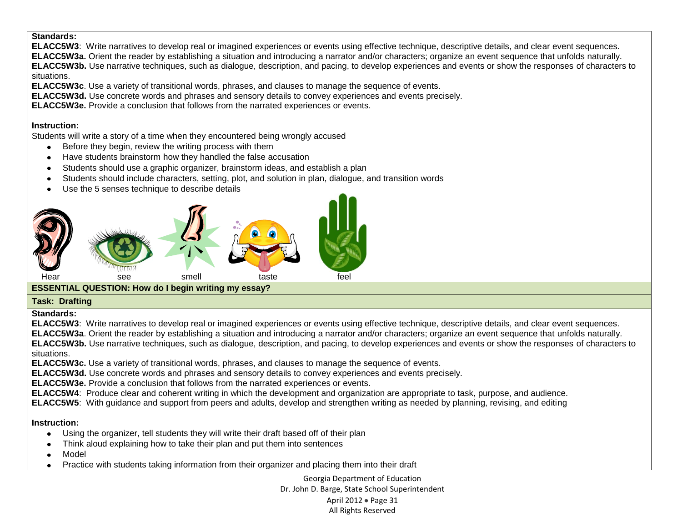## **Standards:**

**ELACC5W3**: Write narratives to develop real or imagined experiences or events using effective technique, descriptive details, and clear event sequences. **ELACC5W3a.** Orient the reader by establishing a situation and introducing a narrator and/or characters; organize an event sequence that unfolds naturally. **ELACC5W3b.** Use narrative techniques, such as dialogue, description, and pacing, to develop experiences and events or show the responses of characters to situations.

**ELACC5W3c**. Use a variety of transitional words, phrases, and clauses to manage the sequence of events.

**ELACC5W3d.** Use concrete words and phrases and sensory details to convey experiences and events precisely.

**ELACC5W3e.** Provide a conclusion that follows from the narrated experiences or events.

### **Instruction:**

Students will write a story of a time when they encountered being wrongly accused

- Before they begin, review the writing process with them
- Have students brainstorm how they handled the false accusation  $\bullet$
- Students should use a graphic organizer, brainstorm ideas, and establish a plan
- Students should include characters, setting, plot, and solution in plan, dialogue, and transition words  $\bullet$
- Use the 5 senses technique to describe details



# **ESSENTIAL QUESTION: How do I begin writing my essay?**

## **Task: Drafting**

### **Standards:**

**ELACC5W3**: Write narratives to develop real or imagined experiences or events using effective technique, descriptive details, and clear event sequences. **ELACC5W3a**. Orient the reader by establishing a situation and introducing a narrator and/or characters; organize an event sequence that unfolds naturally. **ELACC5W3b.** Use narrative techniques, such as dialogue, description, and pacing, to develop experiences and events or show the responses of characters to situations.

**ELACC5W3c.** Use a variety of transitional words, phrases, and clauses to manage the sequence of events.

**ELACC5W3d.** Use concrete words and phrases and sensory details to convey experiences and events precisely.

**ELACC5W3e.** Provide a conclusion that follows from the narrated experiences or events.

**ELACC5W4**: Produce clear and coherent writing in which the development and organization are appropriate to task, purpose, and audience.

**ELACC5W5**: With guidance and support from peers and adults, develop and strengthen writing as needed by planning, revising, and editing

## **Instruction:**

- Using the organizer, tell students they will write their draft based off of their plan  $\bullet$
- Think aloud explaining how to take their plan and put them into sentences
- Model
- Practice with students taking information from their organizer and placing them into their draft

Georgia Department of Education Dr. John D. Barge, State School Superintendent April 2012 • Page 31 All Rights Reserved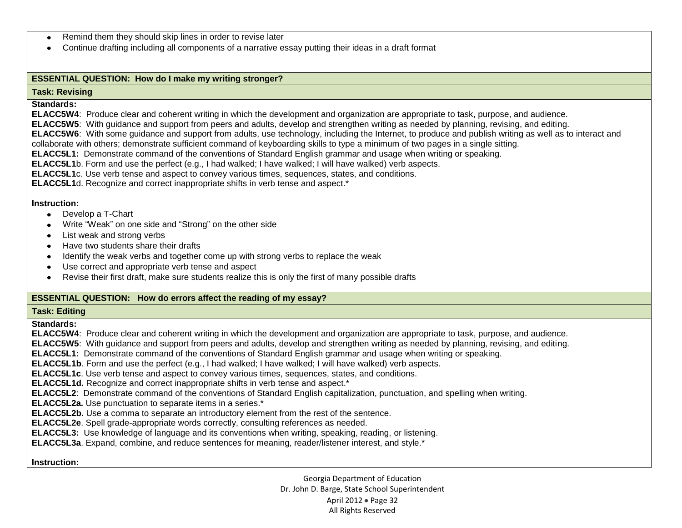- Remind them they should skip lines in order to revise later  $\bullet$
- Continue drafting including all components of a narrative essay putting their ideas in a draft format  $\bullet$

## **ESSENTIAL QUESTION: How do I make my writing stronger?**

#### **Task: Revising**

#### **Standards:**

**ELACC5W4**: Produce clear and coherent writing in which the development and organization are appropriate to task, purpose, and audience.

**ELACC5W5**: With guidance and support from peers and adults, develop and strengthen writing as needed by planning, revising, and editing.

**ELACC5W6**: With some guidance and support from adults, use technology, including the Internet, to produce and publish writing as well as to interact and

collaborate with others; demonstrate sufficient command of keyboarding skills to type a minimum of two pages in a single sitting.

**ELACC5L1:** Demonstrate command of the conventions of Standard English grammar and usage when writing or speaking.

**ELACC5L1**b. Form and use the perfect (e.g., I had walked; I have walked; I will have walked) verb aspects.

**ELACC5L1**c. Use verb tense and aspect to convey various times, sequences, states, and conditions.

**ELACC5L1**d. Recognize and correct inappropriate shifts in verb tense and aspect.\*

#### **Instruction:**

- Develop a T-Chart
- Write "Weak" on one side and "Strong" on the other side
- List weak and strong verbs
- Have two students share their drafts
- Identify the weak verbs and together come up with strong verbs to replace the weak  $\bullet$
- Use correct and appropriate verb tense and aspect  $\bullet$
- Revise their first draft, make sure students realize this is only the first of many possible drafts

## **ESSENTIAL QUESTION: How do errors affect the reading of my essay?**

#### **Task: Editing**

**Standards:**

**ELACC5W4**: Produce clear and coherent writing in which the development and organization are appropriate to task, purpose, and audience.

**ELACC5W5**: With guidance and support from peers and adults, develop and strengthen writing as needed by planning, revising, and editing.

**ELACC5L1:** Demonstrate command of the conventions of Standard English grammar and usage when writing or speaking.

**ELACC5L1b**. Form and use the perfect (e.g., I had walked; I have walked; I will have walked) verb aspects.

**ELACC5L1c**. Use verb tense and aspect to convey various times, sequences, states, and conditions.

**ELACC5L1d.** Recognize and correct inappropriate shifts in verb tense and aspect.\*

**ELACC5L2**: Demonstrate command of the conventions of Standard English capitalization, punctuation, and spelling when writing.

**ELACC5L2a.** Use punctuation to separate items in a series.\*

**ELACC5L2b.** Use a comma to separate an introductory element from the rest of the sentence.

**ELACC5L2e**. Spell grade-appropriate words correctly, consulting references as needed.

**ELACC5L3:** Use knowledge of language and its conventions when writing, speaking, reading, or listening.

**ELACC5L3a**. Expand, combine, and reduce sentences for meaning, reader/listener interest, and style.\*

#### **Instruction:**

Georgia Department of Education Dr. John D. Barge, State School Superintendent April 2012 • Page 32 All Rights Reserved